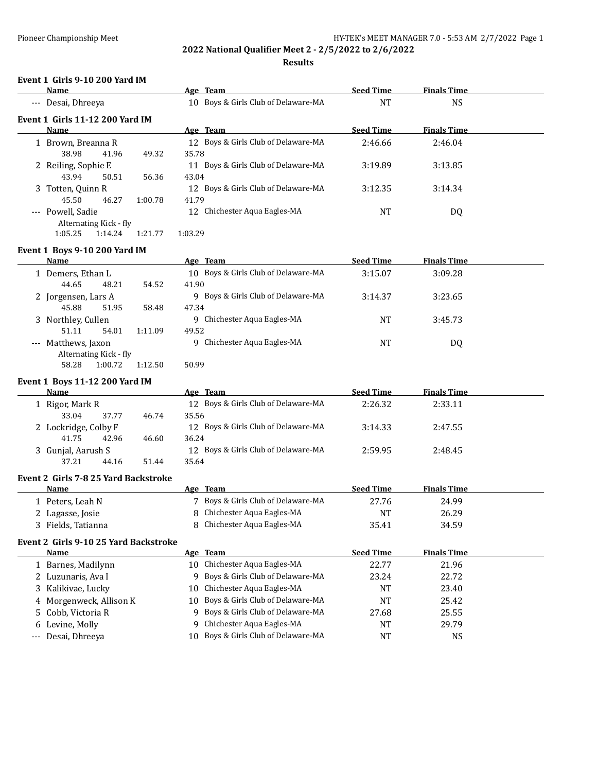**Results**

# **Event 1 Girls 9-10 200 Yard IM**

| <b>Name</b>                            |                        |         |         | Age Team                            | <b>Seed Time</b> | <b>Finals Time</b> |  |
|----------------------------------------|------------------------|---------|---------|-------------------------------------|------------------|--------------------|--|
| --- Desai, Dhreeya                     |                        |         |         | 10 Boys & Girls Club of Delaware-MA | <b>NT</b>        | <b>NS</b>          |  |
| <b>Event 1 Girls 11-12 200 Yard IM</b> |                        |         |         |                                     |                  |                    |  |
| <b>Name</b>                            |                        |         |         | Age Team                            | <b>Seed Time</b> | <b>Finals Time</b> |  |
| 1 Brown, Breanna R                     |                        |         |         | 12 Boys & Girls Club of Delaware-MA | 2:46.66          | 2:46.04            |  |
| 38.98                                  | 41.96                  | 49.32   | 35.78   |                                     |                  |                    |  |
| 2 Reiling, Sophie E                    |                        |         | 11      | Boys & Girls Club of Delaware-MA    | 3:19.89          | 3:13.85            |  |
| 43.94                                  | 50.51                  | 56.36   | 43.04   |                                     |                  |                    |  |
| 3 Totten, Quinn R                      |                        |         | 12.     | Boys & Girls Club of Delaware-MA    | 3:12.35          | 3:14.34            |  |
| 45.50                                  | 46.27                  | 1:00.78 | 41.79   |                                     |                  |                    |  |
| --- Powell, Sadie                      |                        |         |         | 12 Chichester Aqua Eagles-MA        | NT               | DQ                 |  |
|                                        | Alternating Kick - fly |         |         |                                     |                  |                    |  |
| 1:05.25                                | 1:14.24                | 1:21.77 | 1:03.29 |                                     |                  |                    |  |

#### **Event 1 Boys 9-10 200 Yard IM**

| Name                   |         | Age Team                              | <b>Seed Time</b> | <b>Finals Time</b> |  |
|------------------------|---------|---------------------------------------|------------------|--------------------|--|
| 1 Demers, Ethan L      |         | 10 Boys & Girls Club of Delaware-MA   | 3:15.07          | 3:09.28            |  |
| 48.21<br>44.65         | 54.52   | 41.90                                 |                  |                    |  |
| 2 Jorgensen, Lars A    |         | Boys & Girls Club of Delaware-MA<br>q | 3:14.37          | 3:23.65            |  |
| 45.88<br>51.95         | 58.48   | 47.34                                 |                  |                    |  |
| 3 Northley, Cullen     |         | Chichester Aqua Eagles-MA<br>9        | NT               | 3:45.73            |  |
| 54.01<br>51.11         | 1:11.09 | 49.52                                 |                  |                    |  |
| --- Matthews, Jaxon    |         | 9 Chichester Aqua Eagles-MA           | NT               | DQ                 |  |
| Alternating Kick - fly |         |                                       |                  |                    |  |
| 58.28<br>1:00.72       | 1:12.50 | 50.99                                 |                  |                    |  |

#### **Event 1 Boys 11-12 200 Yard IM**

| <b>Name</b>          |       |       | Age Team                            | <b>Seed Time</b> | <b>Finals Time</b> |  |
|----------------------|-------|-------|-------------------------------------|------------------|--------------------|--|
| 1 Rigor, Mark R      |       |       | 12 Boys & Girls Club of Delaware-MA | 2:26.32          | 2:33.11            |  |
| 33.04                | 37.77 | 46.74 | 35.56                               |                  |                    |  |
| 2 Lockridge, Colby F |       |       | 12 Boys & Girls Club of Delaware-MA | 3:14.33          | 2:47.55            |  |
| 41.75                | 42.96 | 46.60 | 36.24                               |                  |                    |  |
| 3 Gunjal, Aarush S   |       |       | 12 Boys & Girls Club of Delaware-MA | 2:59.95          | 2:48.45            |  |
| 37.21                | 44.16 | 51.44 | 35.64                               |                  |                    |  |

#### **Event 2 Girls 7-8 25 Yard Backstroke**

| Name               | Age Team                         | <b>Seed Time</b> | <b>Finals Time</b> |  |
|--------------------|----------------------------------|------------------|--------------------|--|
| .   Peters, Leah N | Boys & Girls Club of Delaware-MA | 27.76            | 24.99              |  |
| 2 Lagasse, Josie   | 8 Chichester Aqua Eagles-MA      | NT               | 26.29              |  |
| Fields, Tatianna   | 8 Chichester Aqua Eagles-MA      | 35.41            | 34.59              |  |

#### **Event 2 Girls 9-10 25 Yard Backstroke**

| Name                    | Age Team                            | <b>Seed Time</b> | <b>Finals Time</b> |  |
|-------------------------|-------------------------------------|------------------|--------------------|--|
| 1 Barnes, Madilynn      | 10 Chichester Aqua Eagles-MA        | 22.77            | 21.96              |  |
| 2 Luzunaris, Ava I      | 9 Boys & Girls Club of Delaware-MA  | 23.24            | 22.72              |  |
| 3 Kalikiyae, Lucky      | 10 Chichester Aqua Eagles-MA        | NT               | 23.40              |  |
| 4 Morgenweck, Allison K | 10 Boys & Girls Club of Delaware-MA | NT               | 25.42              |  |
| 5 Cobb, Victoria R      | 9 Boys & Girls Club of Delaware-MA  | 27.68            | 25.55              |  |
| 6 Levine, Molly         | 9 Chichester Aqua Eagles-MA         | NT               | 29.79              |  |
| --- Desai, Dhreeya      | 10 Boys & Girls Club of Delaware-MA | NT               | NS                 |  |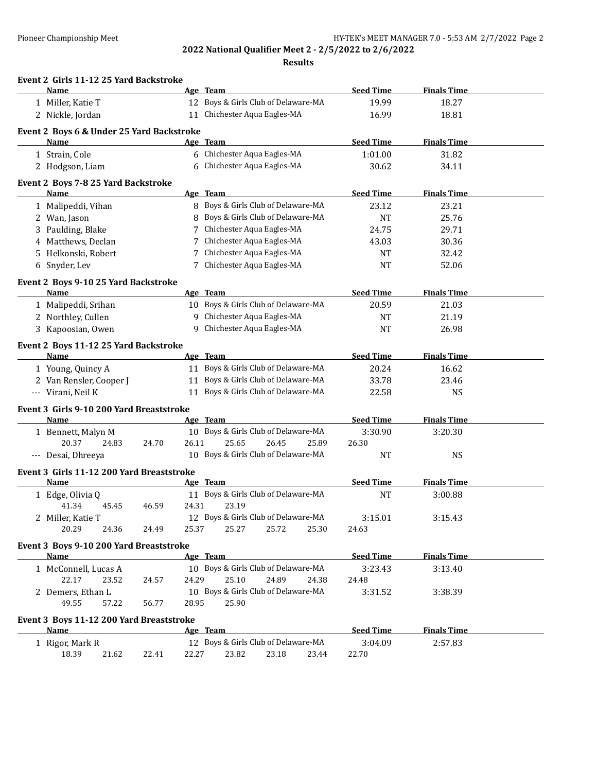|    | Event 2 Girls 11-12 25 Yard Backstroke<br>Name   |       |       |                                                                |                  |                    |  |
|----|--------------------------------------------------|-------|-------|----------------------------------------------------------------|------------------|--------------------|--|
|    |                                                  |       |       | Age Team<br>12 Boys & Girls Club of Delaware-MA                | <b>Seed Time</b> | <b>Finals Time</b> |  |
|    | 1 Miller, Katie T                                |       |       |                                                                | 19.99            | 18.27              |  |
|    | 2 Nickle, Jordan                                 |       |       | 11 Chichester Aqua Eagles-MA                                   | 16.99            | 18.81              |  |
|    | Event 2 Boys 6 & Under 25 Yard Backstroke        |       |       |                                                                |                  |                    |  |
|    | Name                                             |       |       | Age Team                                                       | <b>Seed Time</b> | <b>Finals Time</b> |  |
|    | 1 Strain, Cole                                   |       |       | 6 Chichester Aqua Eagles-MA                                    | 1:01.00          | 31.82              |  |
|    | 2 Hodgson, Liam                                  |       |       | 6 Chichester Aqua Eagles-MA                                    | 30.62            | 34.11              |  |
|    | Event 2 Boys 7-8 25 Yard Backstroke              |       |       |                                                                |                  |                    |  |
|    | Name                                             |       |       | Age Team                                                       | <b>Seed Time</b> | <b>Finals Time</b> |  |
|    | 1 Malipeddi, Vihan                               |       |       | 8 Boys & Girls Club of Delaware-MA                             | 23.12            | 23.21              |  |
|    | 2 Wan, Jason                                     |       |       | 8 Boys & Girls Club of Delaware-MA                             | <b>NT</b>        | 25.76              |  |
|    | 3 Paulding, Blake                                |       |       | 7 Chichester Aqua Eagles-MA                                    | 24.75            | 29.71              |  |
| 4  | Matthews, Declan                                 |       |       | 7 Chichester Aqua Eagles-MA                                    | 43.03            | 30.36              |  |
| 5. | Helkonski, Robert                                |       |       | 7 Chichester Aqua Eagles-MA                                    | <b>NT</b>        | 32.42              |  |
|    | 6 Snyder, Lev                                    |       |       | 7 Chichester Aqua Eagles-MA                                    | <b>NT</b>        | 52.06              |  |
|    | Event 2 Boys 9-10 25 Yard Backstroke             |       |       |                                                                |                  |                    |  |
|    | Name                                             |       |       | Age Team                                                       | <b>Seed Time</b> | <b>Finals Time</b> |  |
|    | 1 Malipeddi, Srihan                              |       |       | 10 Boys & Girls Club of Delaware-MA                            | 20.59            | 21.03              |  |
|    | 2 Northley, Cullen                               |       |       | 9 Chichester Aqua Eagles-MA                                    | NT               | 21.19              |  |
|    | 3 Kapoosian, Owen                                |       |       | 9 Chichester Aqua Eagles-MA                                    | NT               | 26.98              |  |
|    | Event 2 Boys 11-12 25 Yard Backstroke            |       |       |                                                                |                  |                    |  |
|    | Name                                             |       |       | Age Team                                                       | <b>Seed Time</b> | <b>Finals Time</b> |  |
|    | 1 Young, Quincy A                                |       |       | 11 Boys & Girls Club of Delaware-MA                            | 20.24            | 16.62              |  |
|    | 2 Van Rensler, Cooper J                          |       |       | 11 Boys & Girls Club of Delaware-MA                            | 33.78            | 23.46              |  |
|    | --- Virani, Neil K                               |       |       | 11 Boys & Girls Club of Delaware-MA                            | 22.58            | <b>NS</b>          |  |
|    |                                                  |       |       |                                                                |                  |                    |  |
|    | Event 3 Girls 9-10 200 Yard Breaststroke<br>Name |       |       | Age Team                                                       | <b>Seed Time</b> | <b>Finals Time</b> |  |
|    | 1 Bennett, Malyn M                               |       |       | 10 Boys & Girls Club of Delaware-MA                            | 3:30.90          | 3:20.30            |  |
|    | 20.37<br>24.83                                   | 24.70 | 26.11 | 25.65<br>26.45<br>25.89                                        | 26.30            |                    |  |
|    | --- Desai, Dhreeya                               |       |       | 10 Boys & Girls Club of Delaware-MA                            | <b>NT</b>        | <b>NS</b>          |  |
|    |                                                  |       |       |                                                                |                  |                    |  |
|    | Event 3 Girls 11-12 200 Yard Breaststroke        |       |       |                                                                |                  |                    |  |
|    | <b>Name</b>                                      |       |       | Age Team                                                       | <b>Seed Time</b> | <b>Finals Time</b> |  |
|    | 1 Edge, Olivia Q                                 |       |       | 11 Boys & Girls Club of Delaware-MA                            | <b>NT</b>        | 3:00.88            |  |
|    | 41.34<br>45.45                                   | 46.59 | 24.31 | 23.19                                                          |                  |                    |  |
|    | 2 Miller, Katie T<br>20.29                       |       | 25.37 | 12 Boys & Girls Club of Delaware-MA<br>25.27<br>25.72<br>25.30 | 3:15.01          | 3:15.43            |  |
|    | 24.36                                            | 24.49 |       |                                                                | 24.63            |                    |  |
|    | Event 3 Boys 9-10 200 Yard Breaststroke          |       |       |                                                                |                  |                    |  |
|    | Name                                             |       |       | Age Team                                                       | <b>Seed Time</b> | <b>Finals Time</b> |  |
|    | 1 McConnell, Lucas A                             |       |       | 10 Boys & Girls Club of Delaware-MA                            | 3:23.43          | 3:13.40            |  |
|    | 22.17<br>23.52                                   | 24.57 | 24.29 | 25.10<br>24.89<br>24.38                                        | 24.48            |                    |  |
|    | 2 Demers, Ethan L                                |       |       | 10 Boys & Girls Club of Delaware-MA                            | 3:31.52          | 3:38.39            |  |
|    | 49.55<br>57.22                                   | 56.77 | 28.95 | 25.90                                                          |                  |                    |  |
|    | Event 3 Boys 11-12 200 Yard Breaststroke         |       |       |                                                                |                  |                    |  |
|    | Name                                             |       |       | Age Team                                                       | <b>Seed Time</b> | <b>Finals Time</b> |  |
|    | 1 Rigor, Mark R                                  |       |       | 12 Boys & Girls Club of Delaware-MA                            | 3:04.09          | 2:57.83            |  |
|    | 18.39<br>21.62                                   | 22.41 | 22.27 | 23.82<br>23.18<br>23.44                                        | 22.70            |                    |  |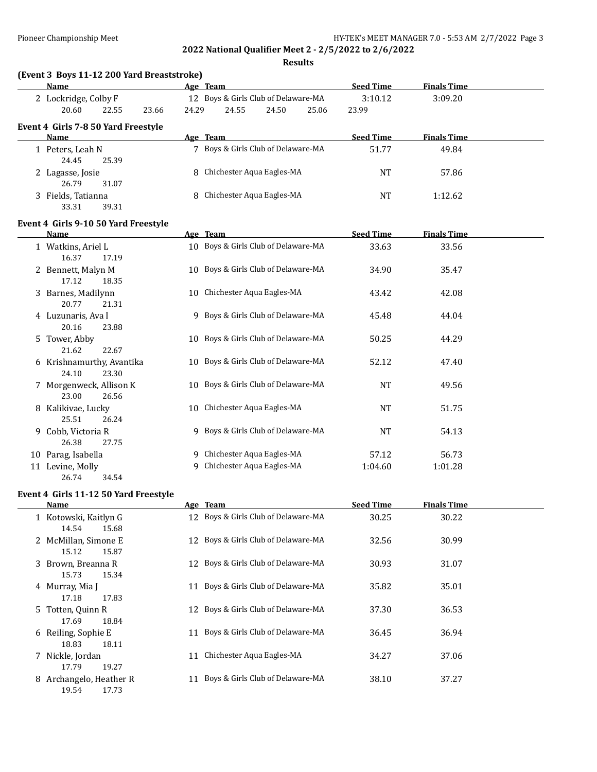**Results**

| <b>Name</b>                                        |       | Age Team                                                       | <b>Seed Time</b> | <b>Finals Time</b> |  |
|----------------------------------------------------|-------|----------------------------------------------------------------|------------------|--------------------|--|
| 2 Lockridge, Colby F<br>20.60<br>22.55<br>23.66    | 24.29 | 12 Boys & Girls Club of Delaware-MA<br>24.55<br>24.50<br>25.06 | 3:10.12<br>23.99 | 3:09.20            |  |
| Event 4 Girls 7-8 50 Yard Freestyle<br><b>Name</b> |       | Age Team                                                       | <b>Seed Time</b> | <b>Finals Time</b> |  |
| 1 Peters, Leah N<br>24.45<br>25.39                 |       | 7 Boys & Girls Club of Delaware-MA                             | 51.77            | 49.84              |  |
| 2 Lagasse, Josie<br>26.79<br>31.07                 | 8     | Chichester Aqua Eagles-MA                                      | <b>NT</b>        | 57.86              |  |
| 3 Fields, Tatianna<br>33.31<br>39.31               |       | Chichester Aqua Eagles-MA                                      | <b>NT</b>        | 1:12.62            |  |
| Event 4 Girls 9-10 50 Yard Freestyle<br>Name       |       | Age Team                                                       | <b>Seed Time</b> | <b>Finals Time</b> |  |
| 1 Watkins, Ariel L<br>16.37<br>17.19               |       | 10 Boys & Girls Club of Delaware-MA                            | 33.63            | 33.56              |  |
| 2 Bennett, Malyn M<br>17.12<br>18.35               |       | 10 Boys & Girls Club of Delaware-MA                            | 34.90            | 35.47              |  |
| 3 Barnes, Madilynn<br>20.77<br>21.31               | 10    | Chichester Aqua Eagles-MA                                      | 43.42            | 42.08              |  |
| 4 Luzunaris, Ava I<br>20.16<br>23.88               |       | 9 Boys & Girls Club of Delaware-MA                             | 45.48            | 44.04              |  |
| 5 Tower, Abby<br>21.62<br>22.67                    |       | 10 Boys & Girls Club of Delaware-MA                            | 50.25            | 44.29              |  |
| 6 Krishnamurthy, Avantika<br>24.10<br>23.30        |       | 10 Boys & Girls Club of Delaware-MA                            | 52.12            | 47.40              |  |
| 7 Morgenweck, Allison K<br>23.00<br>26.56          |       | 10 Boys & Girls Club of Delaware-MA                            | <b>NT</b>        | 49.56              |  |
| 8 Kalikivae, Lucky<br>25.51<br>26.24               |       | 10 Chichester Aqua Eagles-MA                                   | <b>NT</b>        | 51.75              |  |
| 9 Cobb, Victoria R<br>26.38<br>27.75               |       | 9 Boys & Girls Club of Delaware-MA                             | <b>NT</b>        | 54.13              |  |
| 10 Parag, Isabella                                 |       | 9 Chichester Aqua Eagles-MA                                    | 57.12            | 56.73              |  |
| 11 Levine, Molly<br>26.74<br>34.54                 | q     | Chichester Aqua Eagles-MA                                      | 1:04.60          | 1:01.28            |  |

#### **Event 4 Girls 11-12 50 Yard Freestyle**

|   | Name                                    |    | Age Team                            | <b>Seed Time</b> | <b>Finals Time</b> |
|---|-----------------------------------------|----|-------------------------------------|------------------|--------------------|
|   | 1 Kotowski, Kaitlyn G<br>14.54<br>15.68 | 12 | Boys & Girls Club of Delaware-MA    | 30.25            | 30.22              |
|   | 2 McMillan, Simone E<br>15.12<br>15.87  |    | 12 Boys & Girls Club of Delaware-MA | 32.56            | 30.99              |
|   | 3 Brown, Breanna R<br>15.73<br>15.34    |    | 12 Boys & Girls Club of Delaware-MA | 30.93            | 31.07              |
|   | 4 Murray, Mia J<br>17.18<br>17.83       | 11 | Boys & Girls Club of Delaware-MA    | 35.82            | 35.01              |
|   | 5 Totten, Quinn R<br>17.69<br>18.84     |    | 12 Boys & Girls Club of Delaware-MA | 37.30            | 36.53              |
|   | 6 Reiling, Sophie E<br>18.83<br>18.11   | 11 | Boys & Girls Club of Delaware-MA    | 36.45            | 36.94              |
|   | 7 Nickle, Jordan<br>17.79<br>19.27      | 11 | Chichester Aqua Eagles-MA           | 34.27            | 37.06              |
| 8 | Archangelo, Heather R<br>19.54<br>17.73 |    | Boys & Girls Club of Delaware-MA    | 38.10            | 37.27              |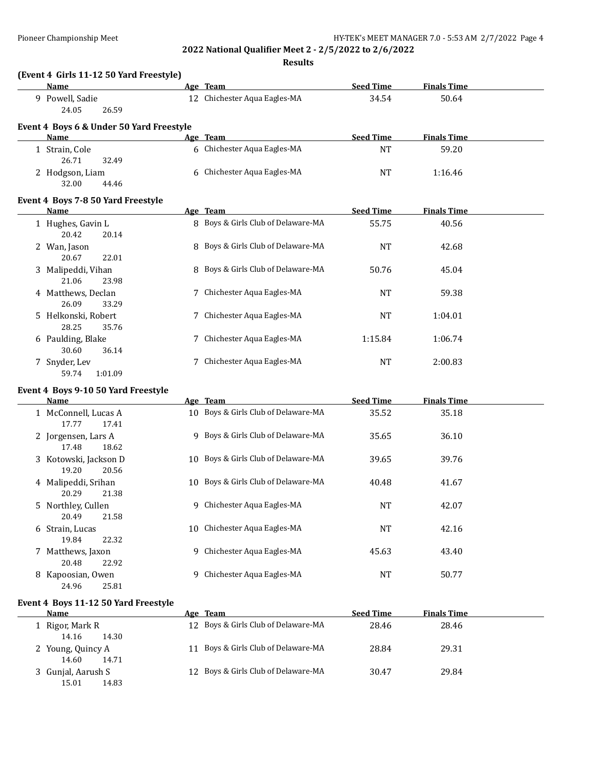**Results**

| (Event 4 Girls 11-12 50 Yard Freestyle)  |                                    |                  |                    |  |
|------------------------------------------|------------------------------------|------------------|--------------------|--|
| Name                                     | Age Team                           | <b>Seed Time</b> | <b>Finals Time</b> |  |
| Powell, Sadie<br>9.<br>24.05<br>26.59    | Chichester Aqua Eagles-MA<br>12    | 34.54            | 50.64              |  |
| Event 4 Boys 6 & Under 50 Yard Freestyle |                                    |                  |                    |  |
| Name                                     | Age Team                           | <b>Seed Time</b> | <b>Finals Time</b> |  |
| 1 Strain, Cole<br>26.71<br>32.49         | 6 Chichester Aqua Eagles-MA        | NT               | 59.20              |  |
| 2 Hodgson, Liam<br>32.00<br>44.46        | 6 Chichester Aqua Eagles-MA        | NT               | 1:16.46            |  |
| Event 4 Boys 7-8 50 Yard Freestyle       |                                    |                  |                    |  |
| Name                                     | Age Team                           | <b>Seed Time</b> | <b>Finals Time</b> |  |
| 1 Hughes, Gavin L<br>20.14<br>20.42      | 8 Boys & Girls Club of Delaware-MA | 55.75            | 40.56              |  |
| 2 Wan, Jason<br>20.67<br>22.01           | 8 Boys & Girls Club of Delaware-MA | NT               | 42.68              |  |

| ---         | -----               |                                    |           |         |
|-------------|---------------------|------------------------------------|-----------|---------|
| 3           | Malipeddi, Vihan    | 8 Boys & Girls Club of Delaware-MA | 50.76     | 45.04   |
| 21.06       | 23.98               |                                    |           |         |
| 4           | Matthews, Declan    | 7 Chichester Aqua Eagles-MA        | NT        | 59.38   |
| 26.09       | 33.29               |                                    |           |         |
|             | 5 Helkonski, Robert | 7 Chichester Aqua Eagles-MA        | NT        | 1:04.01 |
| 28.25       | 35.76               |                                    |           |         |
| 6           | Paulding, Blake     | 7 Chichester Aqua Eagles-MA        | 1:15.84   | 1:06.74 |
| 30.60       | 36.14               |                                    |           |         |
| Snyder, Lev |                     | Chichester Aqua Eagles-MA          | <b>NT</b> | 2:00.83 |
| 59.74       | 1:01.09             |                                    |           |         |

## **Event 4 Boys 9-10 50 Yard Freestyle**

| Name                                    | Age Team                            | <b>Seed Time</b> | <b>Finals Time</b> |  |
|-----------------------------------------|-------------------------------------|------------------|--------------------|--|
| 1 McConnell, Lucas A<br>17.77<br>17.41  | 10 Boys & Girls Club of Delaware-MA | 35.52            | 35.18              |  |
| 2 Jorgensen, Lars A<br>18.62<br>17.48   | 9 Boys & Girls Club of Delaware-MA  | 35.65            | 36.10              |  |
| 3 Kotowski, Jackson D<br>19.20<br>20.56 | 10 Boys & Girls Club of Delaware-MA | 39.65            | 39.76              |  |
| 4 Malipeddi, Srihan<br>21.38<br>20.29   | 10 Boys & Girls Club of Delaware-MA | 40.48            | 41.67              |  |
| 5 Northley, Cullen<br>21.58<br>20.49    | Chichester Aqua Eagles-MA<br>9      | <b>NT</b>        | 42.07              |  |
| 6 Strain, Lucas<br>22.32<br>19.84       | 10 Chichester Aqua Eagles-MA        | <b>NT</b>        | 42.16              |  |
| 7 Matthews, Jaxon<br>20.48<br>22.92     | Chichester Aqua Eagles-MA<br>9      | 45.63            | 43.40              |  |
| 8 Kapoosian, Owen<br>25.81<br>24.96     | Chichester Aqua Eagles-MA<br>9      | NT               | 50.77              |  |

## **Event 4 Boys 11-12 50 Yard Freestyle**

| Name               | Age Team                            | <b>Seed Time</b> | <b>Finals Time</b> |  |
|--------------------|-------------------------------------|------------------|--------------------|--|
| l Rigor, Mark R    | 12 Boys & Girls Club of Delaware-MA | 28.46            | 28.46              |  |
| 14.16<br>14.30     |                                     |                  |                    |  |
| 2 Young, Quincy A  | 11 Boys & Girls Club of Delaware-MA | 28.84            | 29.31              |  |
| 14.60<br>14.71     |                                     |                  |                    |  |
| 3 Gunjal, Aarush S | 12 Boys & Girls Club of Delaware-MA | 30.47            | 29.84              |  |
| 15.01<br>14.83     |                                     |                  |                    |  |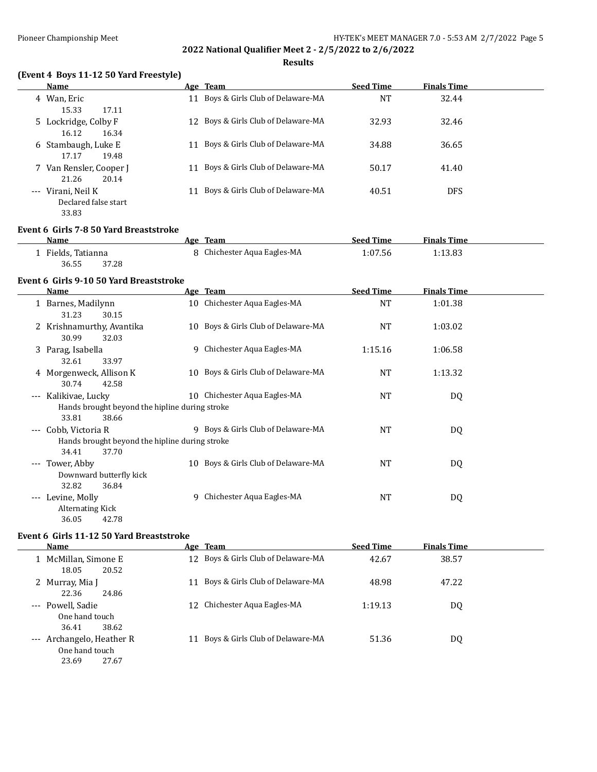### **Results**

## **(Event 4 Boys 11-12 50 Yard Freestyle)**

| Name                    |    | Age Team                            | <b>Seed Time</b> | <b>Finals Time</b> |
|-------------------------|----|-------------------------------------|------------------|--------------------|
| 4 Wan, Eric             | 11 | Boys & Girls Club of Delaware-MA    | NT               | 32.44              |
| 15.33<br>17.11          |    |                                     |                  |                    |
| 5 Lockridge, Colby F    |    | 12 Boys & Girls Club of Delaware-MA | 32.93            | 32.46              |
| 16.12<br>16.34          |    |                                     |                  |                    |
| 6 Stambaugh, Luke E     |    | Boys & Girls Club of Delaware-MA    | 34.88            | 36.65              |
| 17.17<br>19.48          |    |                                     |                  |                    |
| 7 Van Rensler, Cooper J |    | Boys & Girls Club of Delaware-MA    | 50.17            | 41.40              |
| 20.14<br>21.26          |    |                                     |                  |                    |
| --- Virani, Neil K      |    | Boys & Girls Club of Delaware-MA    | 40.51            | <b>DFS</b>         |
| Declared false start    |    |                                     |                  |                    |
| 33.83                   |    |                                     |                  |                    |

#### **Event 6 Girls 7-8 50 Yard Breaststroke**

| Name             | <b>Team</b><br>Age        | <b>Seed Time</b> | <b>Finals Time</b> |  |
|------------------|---------------------------|------------------|--------------------|--|
| Fields, Tatianna | Chichester Aqua Eagles-MA | 1:07.56          | .:13.83            |  |
| 36.55<br>37.28   |                           |                  |                    |  |

#### **Event 6 Girls 9-10 50 Yard Breaststroke**

|                     | Name                                                                                 |    | Age Team                            | <b>Seed Time</b> | Finals Time |  |
|---------------------|--------------------------------------------------------------------------------------|----|-------------------------------------|------------------|-------------|--|
|                     | 1 Barnes, Madilynn<br>31.23<br>30.15                                                 |    | 10 Chichester Aqua Eagles-MA        | <b>NT</b>        | 1:01.38     |  |
|                     | 2 Krishnamurthy, Avantika<br>30.99<br>32.03                                          |    | 10 Boys & Girls Club of Delaware-MA | <b>NT</b>        | 1:03.02     |  |
|                     | 3 Parag, Isabella<br>32.61<br>33.97                                                  |    | 9 Chichester Aqua Eagles-MA         | 1:15.16          | 1:06.58     |  |
|                     | 4 Morgenweck, Allison K<br>30.74<br>42.58                                            |    | 10 Boys & Girls Club of Delaware-MA | NT               | 1:13.32     |  |
| $---$               | Kalikiyae, Lucky<br>Hands brought beyond the hipline during stroke<br>33.81<br>38.66 | 10 | Chichester Aqua Eagles-MA           | <b>NT</b>        | DQ          |  |
| $---$               | Cobb, Victoria R<br>Hands brought beyond the hipline during stroke<br>34.41<br>37.70 |    | 9 Boys & Girls Club of Delaware-MA  | NT               | DQ          |  |
| $\qquad \qquad -$   | Tower, Abby<br>Downward butterfly kick<br>32.82<br>36.84                             |    | 10 Boys & Girls Club of Delaware-MA | NT               | DQ          |  |
| $\qquad \qquad - -$ | Levine, Molly<br>Alternating Kick<br>36.05<br>42.78                                  | 9  | Chichester Aqua Eagles-MA           | NT               | DQ          |  |

## **Event 6 Girls 11-12 50 Yard Breaststroke**

| <b>Name</b>                                                   | Age Team                            | <b>Seed Time</b> | <b>Finals Time</b> |  |
|---------------------------------------------------------------|-------------------------------------|------------------|--------------------|--|
| 1 McMillan, Simone E<br>18.05<br>20.52                        | 12 Boys & Girls Club of Delaware-MA | 42.67            | 38.57              |  |
| 2 Murray, Mia J<br>22.36<br>24.86                             | 11 Boys & Girls Club of Delaware-MA | 48.98            | 47.22              |  |
| --- Powell, Sadie<br>One hand touch<br>38.62<br>36.41         | 12 Chichester Aqua Eagles-MA        | 1:19.13          | DQ                 |  |
| --- Archangelo, Heather R<br>One hand touch<br>27.67<br>23.69 | 11 Boys & Girls Club of Delaware-MA | 51.36            | DQ                 |  |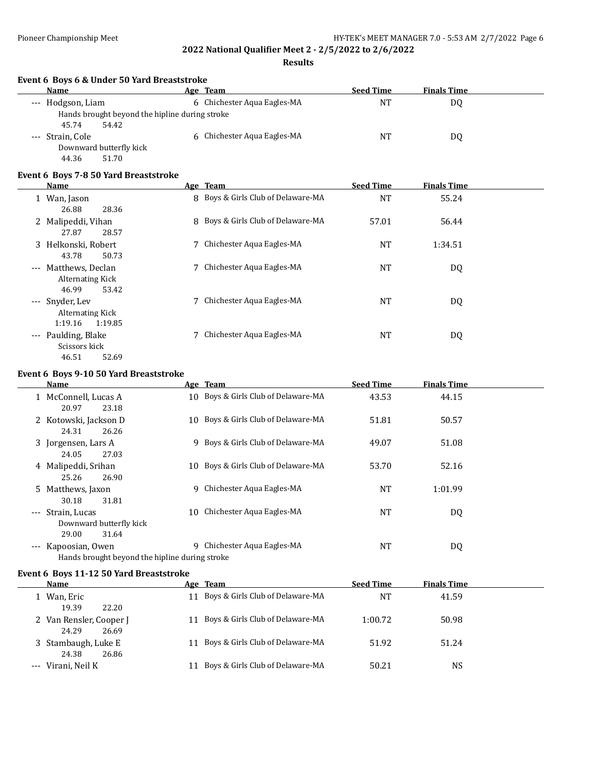**Results**

| Event 6 Boys 6 & Under 50 Yard Breaststroke<br>Name |   | Age Team                           | <b>Seed Time</b> | <b>Finals Time</b> |  |
|-----------------------------------------------------|---|------------------------------------|------------------|--------------------|--|
| --- Hodgson, Liam                                   |   | 6 Chichester Aqua Eagles-MA        | <b>NT</b>        | DQ                 |  |
| Hands brought beyond the hipline during stroke      |   |                                    |                  |                    |  |
| 45.74<br>54.42                                      |   |                                    |                  |                    |  |
| --- Strain, Cole                                    |   | 6 Chichester Aqua Eagles-MA        | <b>NT</b>        | DQ                 |  |
| Downward butterfly kick                             |   |                                    |                  |                    |  |
| 44.36<br>51.70                                      |   |                                    |                  |                    |  |
| Event 6 Boys 7-8 50 Yard Breaststroke               |   |                                    |                  |                    |  |
| Name                                                |   | Age Team                           | <b>Seed Time</b> | <b>Finals Time</b> |  |
| 1 Wan, Jason                                        |   | 8 Boys & Girls Club of Delaware-MA | <b>NT</b>        | 55.24              |  |
| 26.88<br>28.36                                      |   |                                    |                  |                    |  |
| 2 Malipeddi, Vihan                                  |   | 8 Boys & Girls Club of Delaware-MA | 57.01            | 56.44              |  |
| 27.87<br>28.57                                      |   |                                    |                  |                    |  |
| 3 Helkonski, Robert                                 | 7 | Chichester Aqua Eagles-MA          | NT               | 1:34.51            |  |
| 43.78<br>50.73                                      |   |                                    |                  |                    |  |
| --- Matthews, Declan                                | 7 | Chichester Aqua Eagles-MA          | <b>NT</b>        | DQ                 |  |
| <b>Alternating Kick</b>                             |   |                                    |                  |                    |  |
| 46.99<br>53.42                                      |   |                                    |                  |                    |  |
| --- Snyder, Lev                                     |   | 7 Chichester Aqua Eagles-MA        | NT               | DQ                 |  |
| <b>Alternating Kick</b>                             |   |                                    |                  |                    |  |
| 1:19.16<br>1:19.85                                  |   |                                    |                  |                    |  |
| --- Paulding, Blake                                 |   | 7 Chichester Aqua Eagles-MA        | <b>NT</b>        | DQ                 |  |
| Scissors kick                                       |   |                                    |                  |                    |  |
| 52.69<br>46.51                                      |   |                                    |                  |                    |  |

#### **Event 6 Boys 9-10 50 Yard Breaststroke**

| Name                                                                                    |    | Age Team                            | <b>Seed Time</b> | <b>Finals Time</b> |  |
|-----------------------------------------------------------------------------------------|----|-------------------------------------|------------------|--------------------|--|
| 1 McConnell, Lucas A<br>20.97<br>23.18                                                  |    | 10 Boys & Girls Club of Delaware-MA | 43.53            | 44.15              |  |
| 2 Kotowski, Jackson D<br>24.31<br>26.26                                                 |    | 10 Boys & Girls Club of Delaware-MA | 51.81            | 50.57              |  |
| 3 Jorgensen, Lars A<br>27.03<br>24.05                                                   |    | 9 Boys & Girls Club of Delaware-MA  | 49.07            | 51.08              |  |
| 4 Malipeddi, Srihan<br>25.26<br>26.90                                                   |    | 10 Boys & Girls Club of Delaware-MA | 53.70            | 52.16              |  |
| 5 Matthews, Jaxon<br>31.81<br>30.18                                                     | 9  | Chichester Aqua Eagles-MA           | NT               | 1:01.99            |  |
| --- Strain. Lucas<br>Downward butterfly kick                                            | 10 | Chichester Aqua Eagles-MA           | NT               | DQ                 |  |
| 29.00<br>31.64<br>--- Kapoosian, Owen<br>Hands brought beyond the hipline during stroke | 9  | Chichester Aqua Eagles-MA           | NT               | DQ                 |  |

## **Event 6 Boys 11-12 50 Yard Breaststroke**

| <b>Name</b>                               |       | Age Team                            | <b>Seed Time</b> | <b>Finals Time</b> |  |
|-------------------------------------------|-------|-------------------------------------|------------------|--------------------|--|
| Wan, Eric<br>19.39                        | 22.20 | 11 Boys & Girls Club of Delaware-MA | <b>NT</b>        | 41.59              |  |
| 2 Van Rensler, Cooper J<br>24.29<br>26.69 |       | 11 Boys & Girls Club of Delaware-MA | 1:00.72          | 50.98              |  |
| 3 Stambaugh, Luke E<br>24.38              | 26.86 | 11 Boys & Girls Club of Delaware-MA | 51.92            | 51.24              |  |
| Virani, Neil K                            | 11    | Boys & Girls Club of Delaware-MA    | 50.21            | NS                 |  |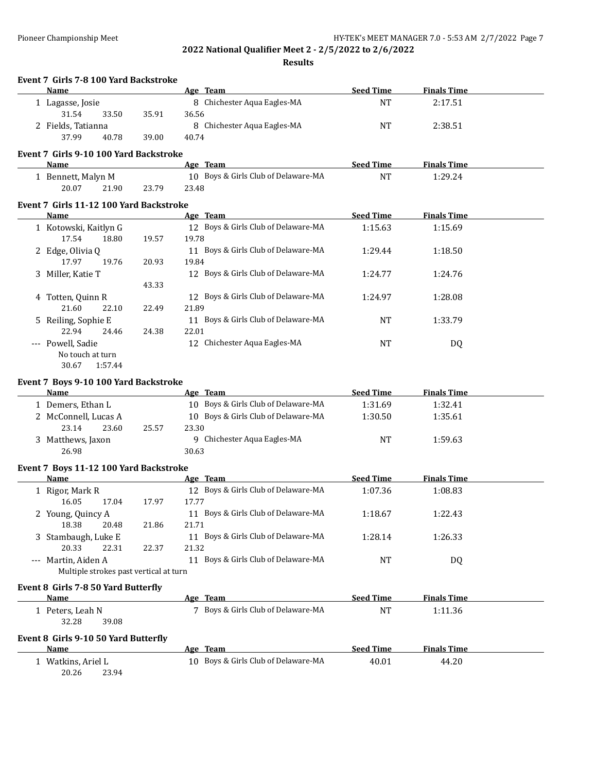| Event 7 Girls 7-8 100 Yard Backstroke<br>Name        |       | Age Team                            | <b>Seed Time</b> | <b>Finals Time</b> |  |
|------------------------------------------------------|-------|-------------------------------------|------------------|--------------------|--|
| 1 Lagasse, Josie                                     |       | 8 Chichester Aqua Eagles-MA         | <b>NT</b>        | 2:17.51            |  |
| 31.54<br>33.50                                       | 35.91 | 36.56                               |                  |                    |  |
| 2 Fields, Tatianna                                   |       | 8 Chichester Aqua Eagles-MA         | NT               | 2:38.51            |  |
| 37.99<br>40.78                                       | 39.00 | 40.74                               |                  |                    |  |
| Event 7 Girls 9-10 100 Yard Backstroke               |       |                                     |                  |                    |  |
| Name                                                 |       | Age Team                            | <b>Seed Time</b> | <b>Finals Time</b> |  |
| 1 Bennett, Malyn M                                   |       | 10 Boys & Girls Club of Delaware-MA | <b>NT</b>        | 1:29.24            |  |
| 20.07<br>21.90                                       | 23.79 | 23.48                               |                  |                    |  |
| Event 7 Girls 11-12 100 Yard Backstroke              |       |                                     |                  |                    |  |
| <b>Name</b>                                          |       | Age Team                            | <b>Seed Time</b> | <b>Finals Time</b> |  |
|                                                      |       | 12 Boys & Girls Club of Delaware-MA | 1:15.63          | 1:15.69            |  |
| 1 Kotowski, Kaitlyn G<br>17.54<br>18.80              | 19.57 | 19.78                               |                  |                    |  |
| 2 Edge, Olivia Q                                     |       | 11 Boys & Girls Club of Delaware-MA | 1:29.44          | 1:18.50            |  |
| 17.97<br>19.76                                       | 20.93 | 19.84                               |                  |                    |  |
| 3 Miller, Katie T                                    |       | 12 Boys & Girls Club of Delaware-MA | 1:24.77          | 1:24.76            |  |
|                                                      | 43.33 |                                     |                  |                    |  |
| 4 Totten, Quinn R                                    |       | 12 Boys & Girls Club of Delaware-MA | 1:24.97          | 1:28.08            |  |
| 21.60<br>22.10                                       | 22.49 | 21.89                               |                  |                    |  |
| 5 Reiling, Sophie E                                  |       | 11 Boys & Girls Club of Delaware-MA | <b>NT</b>        | 1:33.79            |  |
| 22.94<br>24.46                                       | 24.38 | 22.01                               |                  |                    |  |
| --- Powell, Sadie                                    |       | 12 Chichester Aqua Eagles-MA        | <b>NT</b>        | DQ                 |  |
| No touch at turn                                     |       |                                     |                  |                    |  |
| 30.67<br>1:57.44                                     |       |                                     |                  |                    |  |
|                                                      |       |                                     |                  |                    |  |
| Event 7 Boys 9-10 100 Yard Backstroke<br><b>Name</b> |       | Age Team                            | <b>Seed Time</b> | <b>Finals Time</b> |  |
| 1 Demers, Ethan L                                    |       | 10 Boys & Girls Club of Delaware-MA | 1:31.69          | 1:32.41            |  |
| 2 McConnell, Lucas A                                 |       | 10 Boys & Girls Club of Delaware-MA | 1:30.50          | 1:35.61            |  |
| 23.14<br>23.60                                       | 25.57 | 23.30                               |                  |                    |  |
| 3 Matthews, Jaxon                                    |       | 9 Chichester Aqua Eagles-MA         | <b>NT</b>        | 1:59.63            |  |
| 26.98                                                |       | 30.63                               |                  |                    |  |
|                                                      |       |                                     |                  |                    |  |
| Event 7 Boys 11-12 100 Yard Backstroke               |       |                                     |                  |                    |  |
| Name                                                 |       |                                     |                  |                    |  |
|                                                      |       | Age Team                            | <b>Seed Time</b> | <b>Finals Time</b> |  |
| 1 Rigor, Mark R                                      |       | 12 Boys & Girls Club of Delaware-MA | 1:07.36          | 1:08.83            |  |
| 17.04<br>16.05                                       | 17.97 | 17.77                               |                  |                    |  |
| 2 Young, Quincy A                                    |       | 11 Boys & Girls Club of Delaware-MA | 1:18.67          | 1:22.43            |  |
| 18.38<br>20.48                                       | 21.86 | 21.71                               |                  |                    |  |
| 3 Stambaugh, Luke E                                  |       | 11 Boys & Girls Club of Delaware-MA | 1:28.14          | 1:26.33            |  |
| 20.33<br>22.31                                       | 22.37 | 21.32                               |                  |                    |  |
| --- Martin, Aiden A                                  |       | 11 Boys & Girls Club of Delaware-MA | NT               | DQ                 |  |
| Multiple strokes past vertical at turn               |       |                                     |                  |                    |  |
| Event 8 Girls 7-8 50 Yard Butterfly                  |       |                                     |                  |                    |  |
| Name                                                 |       | Age Team                            | <b>Seed Time</b> | <b>Finals Time</b> |  |
| 1 Peters, Leah N                                     |       | 7 Boys & Girls Club of Delaware-MA  | <b>NT</b>        | 1:11.36            |  |
| 32.28<br>39.08                                       |       |                                     |                  |                    |  |
|                                                      |       |                                     |                  |                    |  |
| Event 8 Girls 9-10 50 Yard Butterfly                 |       |                                     |                  |                    |  |
| <b>Name</b>                                          |       | Age Team                            | <b>Seed Time</b> | <b>Finals Time</b> |  |
| 1 Watkins, Ariel L<br>20.26<br>23.94                 |       | 10 Boys & Girls Club of Delaware-MA | 40.01            | 44.20              |  |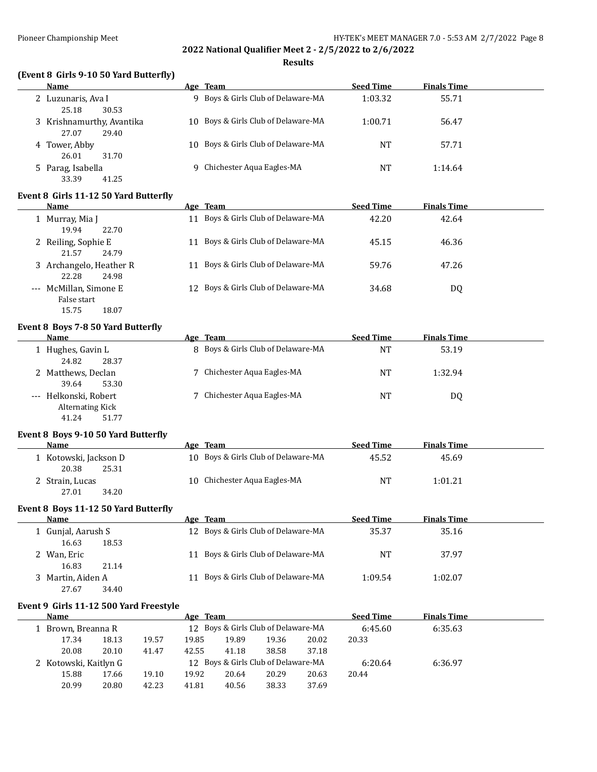#### **Results**

## **(Event 8 Girls 9-10 50 Yard Butterfly)**

| <b>Name</b>                                 | Age Team                            | <b>Seed Time</b> | <b>Finals Time</b> |
|---------------------------------------------|-------------------------------------|------------------|--------------------|
| 2 Luzunaris, Ava I<br>30.53<br>25.18        | 9 Boys & Girls Club of Delaware-MA  | 1:03.32          | 55.71              |
| 3 Krishnamurthy, Avantika<br>29.40<br>27.07 | 10 Boys & Girls Club of Delaware-MA | 1:00.71          | 56.47              |
| 4 Tower, Abby<br>26.01<br>31.70             | 10 Boys & Girls Club of Delaware-MA | NT               | 57.71              |
| 5 Parag, Isabella<br>33.39<br>41.25         | 9 Chichester Aqua Eagles-MA         | NΤ               | 1:14.64            |

#### **Event 8 Girls 11-12 50 Yard Butterfly**

| <b>Name</b>                               | Age Team                            | <b>Seed Time</b> | <b>Finals Time</b> |
|-------------------------------------------|-------------------------------------|------------------|--------------------|
| 1 Murray, Mia J<br>19.94<br>22.70         | 11 Boys & Girls Club of Delaware-MA | 42.20            | 42.64              |
| 2 Reiling, Sophie E<br>21.57<br>24.79     | 11 Boys & Girls Club of Delaware-MA | 45.15            | 46.36              |
| 3 Archangelo, Heather R<br>22.28<br>24.98 | 11 Boys & Girls Club of Delaware-MA | 59.76            | 47.26              |
| --- McMillan, Simone E<br>False start     | 12 Boys & Girls Club of Delaware-MA | 34.68            | DQ                 |

# 15.75 18.07 **Event 8 Boys 7-8 50 Yard Butterfly**

| Name                       | Age Team                           | <b>Seed Time</b> | <b>Finals Time</b> |  |
|----------------------------|------------------------------------|------------------|--------------------|--|
| 1 Hughes, Gavin L          | 8 Boys & Girls Club of Delaware-MA | NT               | 53.19              |  |
| 24.82<br>28.37             |                                    |                  |                    |  |
| 2 Matthews, Declan         | 7 Chichester Aqua Eagles-MA        | NT               | 1:32.94            |  |
| 39.64<br>53.30             |                                    |                  |                    |  |
| Helkonski, Robert<br>$---$ | 7 Chichester Aqua Eagles-MA        | <b>NT</b>        | DQ                 |  |
| <b>Alternating Kick</b>    |                                    |                  |                    |  |

## 41.24 51.77 **Event 8 Boys 9-10 50 Yard Butterfly**

| Name                                    | Age Team                            | <b>Seed Time</b> | <b>Finals Time</b> |  |
|-----------------------------------------|-------------------------------------|------------------|--------------------|--|
| 1 Kotowski, Jackson D<br>20.38<br>25.31 | 10 Boys & Girls Club of Delaware-MA | 45.52            | 45.69              |  |
| 2 Strain, Lucas<br>27.01<br>34.20       | 10 Chichester Aqua Eagles-MA        | NT               | 1:01.21            |  |

#### **Event 8 Boys 11-12 50 Yard Butterfly**

| <b>Name</b>        | Age Team                            | <b>Seed Time</b> | <b>Finals Time</b> |  |
|--------------------|-------------------------------------|------------------|--------------------|--|
| 1 Gunjal, Aarush S | 12 Boys & Girls Club of Delaware-MA | 35.37            | 35.16              |  |
| 16.63<br>18.53     |                                     |                  |                    |  |
| 2 Wan, Eric        | 11 Boys & Girls Club of Delaware-MA | NT               | 37.97              |  |
| 16.83<br>21.14     |                                     |                  |                    |  |
| 3 Martin, Aiden A  | 11 Boys & Girls Club of Delaware-MA | 1:09.54          | 1:02.07            |  |
| 34.40<br>27.67     |                                     |                  |                    |  |

## **Event 9 Girls 11-12 500 Yard Freestyle**

| Name                  |       |       | Age Team |                                     |       |       | <b>Seed Time</b> | <b>Finals Time</b> |  |
|-----------------------|-------|-------|----------|-------------------------------------|-------|-------|------------------|--------------------|--|
| 1 Brown, Breanna R    |       |       |          | 12 Boys & Girls Club of Delaware-MA |       |       | 6:45.60          | 6:35.63            |  |
| 17.34                 | 18.13 | 19.57 | 19.85    | 19.89                               | 19.36 | 20.02 | 20.33            |                    |  |
| 20.08                 | 20.10 | 41.47 | 42.55    | 41.18                               | 38.58 | 37.18 |                  |                    |  |
| 2 Kotowski, Kaitlyn G |       |       |          | 12 Boys & Girls Club of Delaware-MA |       |       | 6:20.64          | 6:36.97            |  |
| 15.88                 | 17.66 | 19.10 | 19.92    | 20.64                               | 20.29 | 20.63 | 20.44            |                    |  |
| 20.99                 | 20.80 | 42.23 | 41.81    | 40.56                               | 38.33 | 37.69 |                  |                    |  |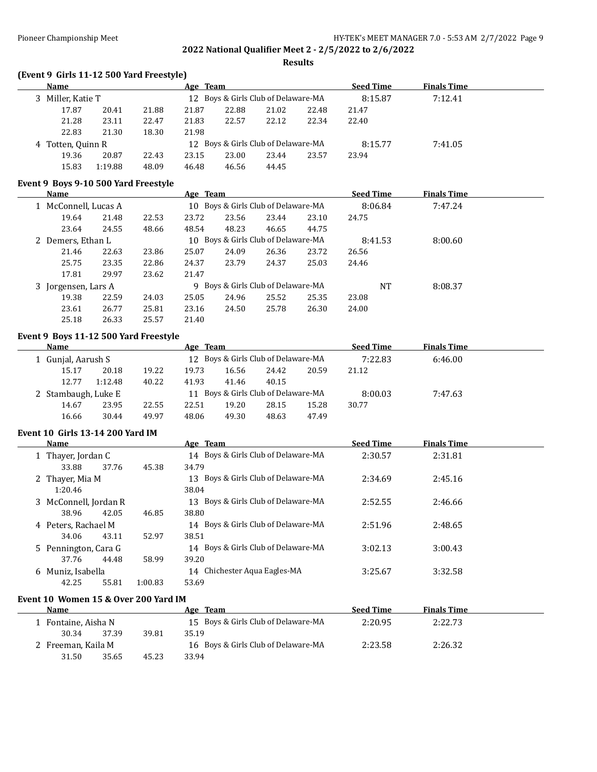**Results**

## **(Event 9 Girls 11-12 500 Yard Freestyle)**

| <b>Name</b>       |         |       | Age Team |       |                                     |       | <b>Seed Time</b> | <b>Finals Time</b> |  |
|-------------------|---------|-------|----------|-------|-------------------------------------|-------|------------------|--------------------|--|
| 3 Miller, Katie T |         |       |          |       | 12 Boys & Girls Club of Delaware-MA |       | 8:15.87          | 7:12.41            |  |
| 17.87             | 20.41   | 21.88 | 21.87    | 22.88 | 21.02                               | 22.48 | 21.47            |                    |  |
| 21.28             | 23.11   | 22.47 | 21.83    | 22.57 | 22.12                               | 22.34 | 22.40            |                    |  |
| 22.83             | 21.30   | 18.30 | 21.98    |       |                                     |       |                  |                    |  |
| 4 Totten, Quinn R |         |       |          |       | 12 Boys & Girls Club of Delaware-MA |       | 8:15.77          | 7:41.05            |  |
| 19.36             | 20.87   | 22.43 | 23.15    | 23.00 | 23.44                               | 23.57 | 23.94            |                    |  |
| 15.83             | 1:19.88 | 48.09 | 46.48    | 46.56 | 44.45                               |       |                  |                    |  |

# **Event 9 Boys 9-10 500 Yard Freestyle**

| Name                 |       |       | Age Team |       |                                     |       | <b>Seed Time</b> | <b>Finals Time</b> |  |
|----------------------|-------|-------|----------|-------|-------------------------------------|-------|------------------|--------------------|--|
| 1 McConnell, Lucas A |       |       |          |       | 10 Boys & Girls Club of Delaware-MA |       | 8:06.84          | 7:47.24            |  |
| 19.64                | 21.48 | 22.53 | 23.72    | 23.56 | 23.44                               | 23.10 | 24.75            |                    |  |
| 23.64                | 24.55 | 48.66 | 48.54    | 48.23 | 46.65                               | 44.75 |                  |                    |  |
| 2 Demers, Ethan L    |       |       |          |       | 10 Boys & Girls Club of Delaware-MA |       | 8:41.53          | 8:00.60            |  |
| 21.46                | 22.63 | 23.86 | 25.07    | 24.09 | 26.36                               | 23.72 | 26.56            |                    |  |
| 25.75                | 23.35 | 22.86 | 24.37    | 23.79 | 24.37                               | 25.03 | 24.46            |                    |  |
| 17.81                | 29.97 | 23.62 | 21.47    |       |                                     |       |                  |                    |  |
| 3 Jorgensen, Lars A  |       |       |          |       | 9 Boys & Girls Club of Delaware-MA  |       | NT               | 8:08.37            |  |
| 19.38                | 22.59 | 24.03 | 25.05    | 24.96 | 25.52                               | 25.35 | 23.08            |                    |  |
| 23.61                | 26.77 | 25.81 | 23.16    | 24.50 | 25.78                               | 26.30 | 24.00            |                    |  |
| 25.18                | 26.33 | 25.57 | 21.40    |       |                                     |       |                  |                    |  |

#### **Event 9 Boys 11-12 500 Yard Freestyle**

| Name               |       |                     |       | Age Team |       |                                     |       | <b>Seed Time</b> | <b>Finals Time</b> |  |
|--------------------|-------|---------------------|-------|----------|-------|-------------------------------------|-------|------------------|--------------------|--|
| 1 Gunjal, Aarush S |       |                     |       |          |       | 12 Boys & Girls Club of Delaware-MA |       | 7:22.83          | 6:46.00            |  |
|                    | 15.17 | 20.18               | 19.22 | 19.73    | 16.56 | 24.42                               | 20.59 | 21.12            |                    |  |
|                    | 12.77 | 1:12.48             | 40.22 | 41.93    | 41.46 | 40.15                               |       |                  |                    |  |
|                    |       | 2 Stambaugh, Luke E |       |          |       | 11 Boys & Girls Club of Delaware-MA |       | 8:00.03          | 7:47.63            |  |
|                    | 14.67 | 23.95               | 22.55 | 22.51    | 19.20 | 28.15                               | 15.28 | 30.77            |                    |  |
|                    | 16.66 | 30.44               | 49.97 | 48.06    | 49.30 | 48.63                               | 47.49 |                  |                    |  |

#### **Event 10 Girls 13-14 200 Yard IM**

| Name                  |         | Age Team                               | <b>Seed Time</b> | <b>Finals Time</b> |  |
|-----------------------|---------|----------------------------------------|------------------|--------------------|--|
| 1 Thayer, Jordan C    |         | 14 Boys & Girls Club of Delaware-MA    | 2:30.57          | 2:31.81            |  |
| 33.88<br>37.76        | 45.38   | 34.79                                  |                  |                    |  |
| 2 Thayer, Mia M       |         | Boys & Girls Club of Delaware-MA<br>13 | 2:34.69          | 2:45.16            |  |
| 1:20.46               |         | 38.04                                  |                  |                    |  |
| 3 McConnell, Jordan R |         | 13 Boys & Girls Club of Delaware-MA    | 2:52.55          | 2:46.66            |  |
| 38.96<br>42.05        | 46.85   | 38.80                                  |                  |                    |  |
| 4 Peters, Rachael M   |         | 14 Boys & Girls Club of Delaware-MA    | 2:51.96          | 2:48.65            |  |
| 43.11<br>34.06        | 52.97   | 38.51                                  |                  |                    |  |
| 5 Pennington, Cara G  |         | 14 Boys & Girls Club of Delaware-MA    | 3:02.13          | 3:00.43            |  |
| 37.76<br>44.48        | 58.99   | 39.20                                  |                  |                    |  |
| 6 Muniz, Isabella     |         | 14 Chichester Aqua Eagles-MA           | 3:25.67          | 3:32.58            |  |
| 55.81<br>42.25        | 1:00.83 | 53.69                                  |                  |                    |  |

#### **Event 10 Women 15 & Over 200 Yard IM**

| <b>Name</b>        |       | Age Team                            | <b>Seed Time</b> | <b>Finals Time</b> |  |
|--------------------|-------|-------------------------------------|------------------|--------------------|--|
| Fontaine, Aisha N  |       | 15 Boys & Girls Club of Delaware-MA | 2:20.95          | 2:22.73            |  |
| 30.34<br>37.39     | 39.81 | 35.19                               |                  |                    |  |
| 2 Freeman, Kaila M |       | 16 Boys & Girls Club of Delaware-MA | 2:23.58          | 2:26.32            |  |
| 31.50<br>35.65     | 45.23 | 33.94                               |                  |                    |  |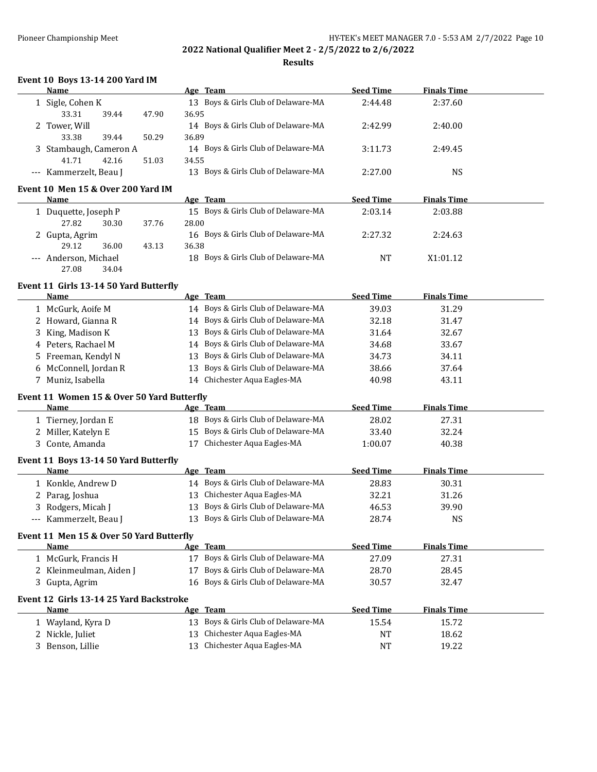**Results**

### **Event 10 Boys 13-14 200 Yard IM**

| Name                   |       |       | Age Team                            | <b>Seed Time</b> | <b>Finals Time</b> |  |
|------------------------|-------|-------|-------------------------------------|------------------|--------------------|--|
| 1 Sigle, Cohen K       |       |       | 13 Boys & Girls Club of Delaware-MA | 2:44.48          | 2:37.60            |  |
| 33.31                  | 39.44 | 47.90 | 36.95                               |                  |                    |  |
| 2 Tower, Will          |       |       | 14 Boys & Girls Club of Delaware-MA | 2:42.99          | 2:40.00            |  |
| 33.38                  | 39.44 | 50.29 | 36.89                               |                  |                    |  |
| 3 Stambaugh, Cameron A |       |       | 14 Boys & Girls Club of Delaware-MA | 3:11.73          | 2:49.45            |  |
| 41.71                  | 42.16 | 51.03 | 34.55                               |                  |                    |  |
| --- Kammerzelt, Beau J |       |       | 13 Boys & Girls Club of Delaware-MA | 2:27.00          | NS                 |  |
|                        |       |       |                                     |                  |                    |  |

## **Event 10 Men 15 & Over 200 Yard IM**

| Name                  |       | Age Team                            | <b>Seed Time</b> | <b>Finals Time</b> |  |
|-----------------------|-------|-------------------------------------|------------------|--------------------|--|
| 1 Duquette, Joseph P  |       | 15 Boys & Girls Club of Delaware-MA | 2:03.14          | 2:03.88            |  |
| 27.82<br>30.30        | 37.76 | 28.00                               |                  |                    |  |
| 2 Gupta, Agrim        |       | 16 Boys & Girls Club of Delaware-MA | 2:27.32          | 2:24.63            |  |
| 36.00<br>29.12        | 43.13 | 36.38                               |                  |                    |  |
| --- Anderson, Michael |       | 18 Boys & Girls Club of Delaware-MA | NT               | X1:01.12           |  |
| 27.08<br>34.04        |       |                                     |                  |                    |  |

#### **Event 11 Girls 13-14 50 Yard Butterfly**

| Name                                       |    | Age Team                                                                                         | <b>Seed Time</b>     | <b>Finals Time</b>   |  |
|--------------------------------------------|----|--------------------------------------------------------------------------------------------------|----------------------|----------------------|--|
| 1 McGurk, Aoife M                          |    | 14 Boys & Girls Club of Delaware-MA                                                              | 39.03                | 31.29                |  |
| 2 Howard, Gianna R                         |    | 14 Boys & Girls Club of Delaware-MA                                                              | 32.18                | 31.47                |  |
| 3 King, Madison K                          | 13 | Boys & Girls Club of Delaware-MA                                                                 | 31.64                | 32.67                |  |
| 4 Peters, Rachael M                        |    | 14 Boys & Girls Club of Delaware-MA                                                              | 34.68                | 33.67                |  |
| 5 Freeman, Kendyl N                        | 13 | Boys & Girls Club of Delaware-MA                                                                 | 34.73                | 34.11                |  |
| 6 McConnell, Jordan R                      |    | 13 Boys & Girls Club of Delaware-MA                                                              | 38.66                | 37.64                |  |
| 7 Muniz, Isabella                          |    | 14 Chichester Aqua Eagles-MA                                                                     | 40.98                | 43.11                |  |
| Event 11 Women 15 & Over 50 Yard Butterfly |    |                                                                                                  |                      |                      |  |
| Name                                       |    | Age Team                                                                                         | <b>Seed Time</b>     | <b>Finals Time</b>   |  |
| .                                          |    | $\sim$ $\sim$ $\sim$ $\sim$ $\sim$ $\sim$ $\sim$<br>$\sim$ $\sim$ $\sim$<br>$\sim$ $\sim$ $\sim$ | $\sim$ $\sim$ $\sim$ | $\sim$ $\sim$ $\sim$ |  |

# 1 Tierney, Jordan E 18 Boys & Girls Club of Delaware-MA 28.02 27.31 2 Miller, Katelyn E 15 Boys & Girls Club of Delaware-MA 33.40 32.24 3 Conte, Amanda 17 Chichester Aqua Eagles-MA 1:00.07 40.38

### **Event 11 Boys 13-14 50 Yard Butterfly**

| Name                   | Age Team                            | <b>Seed Time</b> | <b>Finals Time</b> |  |
|------------------------|-------------------------------------|------------------|--------------------|--|
| 1 Konkle, Andrew D     | 14 Boys & Girls Club of Delaware-MA | 28.83            | 30.31              |  |
| 2 Parag, Joshua        | 13 Chichester Aqua Eagles-MA        | 32.21            | 31.26              |  |
| 3 Rodgers, Micah J     | 13 Boys & Girls Club of Delaware-MA | 46.53            | 39.90              |  |
| --- Kammerzelt, Beau J | 13 Boys & Girls Club of Delaware-MA | 28.74            | NS                 |  |

## **Event 11 Men 15 & Over 50 Yard Butterfly**

| <b>Name</b>             | Team<br>Age                         | <b>Seed Time</b> | <b>Finals Time</b> |  |
|-------------------------|-------------------------------------|------------------|--------------------|--|
| 1   McGurk, Francis H   | 17 Boys & Girls Club of Delaware-MA | 27.09            | 27.31              |  |
| 2 Kleinmeulman, Aiden J | 17 Boys & Girls Club of Delaware-MA | 28.70            | 28.45              |  |
| 3 Gupta, Agrim          | 16 Boys & Girls Club of Delaware-MA | 30.57            | 32.47              |  |
|                         |                                     |                  |                    |  |

# **Event 12 Girls 13-14 25 Yard Backstroke**

| <b>Name</b>      | Age Team                            | <b>Seed Time</b> | <b>Finals Time</b> |  |
|------------------|-------------------------------------|------------------|--------------------|--|
| Wayland, Kyra D  | 13 Boys & Girls Club of Delaware-MA | 15.54            | 15.72              |  |
| 2 Nickle, Juliet | 13 Chichester Aqua Eagles-MA        | NΤ               | 18.62              |  |
| Benson, Lillie   | 13 Chichester Aqua Eagles-MA        | NT               | 19.22              |  |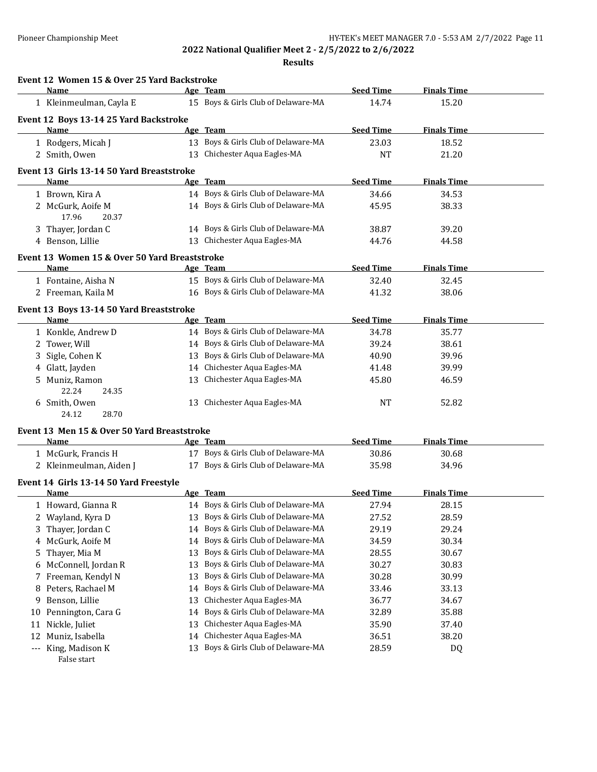|           | Event 12 Women 15 & Over 25 Yard Backstroke<br><b>Name</b> |          |                                                                      | <b>Seed Time</b>          |                             |  |
|-----------|------------------------------------------------------------|----------|----------------------------------------------------------------------|---------------------------|-----------------------------|--|
|           |                                                            |          | <u>Age Team</u><br>15 Boys & Girls Club of Delaware-MA               | 14.74                     | <b>Finals Time</b><br>15.20 |  |
|           | 1 Kleinmeulman, Cayla E                                    |          |                                                                      |                           |                             |  |
|           | Event 12 Boys 13-14 25 Yard Backstroke                     |          |                                                                      | <b>Seed Time</b>          |                             |  |
|           | Name                                                       |          | Age Team<br>13 Boys & Girls Club of Delaware-MA                      |                           | <b>Finals Time</b>          |  |
|           | 1 Rodgers, Micah J<br>2 Smith, Owen                        |          | 13 Chichester Aqua Eagles-MA                                         | 23.03<br>NT               | 18.52<br>21.20              |  |
|           |                                                            |          |                                                                      |                           |                             |  |
|           | Event 13 Girls 13-14 50 Yard Breaststroke                  |          |                                                                      |                           |                             |  |
|           | Name<br>1 Brown, Kira A                                    |          | Age Team<br>14 Boys & Girls Club of Delaware-MA                      | <b>Seed Time</b><br>34.66 | <b>Finals Time</b><br>34.53 |  |
|           | 2 McGurk, Aoife M                                          |          | 14 Boys & Girls Club of Delaware-MA                                  | 45.95                     | 38.33                       |  |
|           | 17.96<br>20.37                                             |          |                                                                      |                           |                             |  |
|           | 3 Thayer, Jordan C                                         |          | 14 Boys & Girls Club of Delaware-MA                                  | 38.87                     | 39.20                       |  |
|           | 4 Benson, Lillie                                           |          | 13 Chichester Aqua Eagles-MA                                         | 44.76                     | 44.58                       |  |
|           | Event 13 Women 15 & Over 50 Yard Breaststroke              |          |                                                                      |                           |                             |  |
|           | <b>Name</b>                                                |          | <u>Age Team</u>                                                      | <b>Seed Time</b>          | <b>Finals Time</b>          |  |
|           | 1 Fontaine, Aisha N                                        |          | 15 Boys & Girls Club of Delaware-MA                                  | 32.40                     | 32.45                       |  |
|           | 2 Freeman, Kaila M                                         |          | 16 Boys & Girls Club of Delaware-MA                                  | 41.32                     | 38.06                       |  |
|           | Event 13 Boys 13-14 50 Yard Breaststroke                   |          |                                                                      |                           |                             |  |
|           | Name                                                       |          | Age Team                                                             | <b>Seed Time</b>          | <b>Finals Time</b>          |  |
|           | 1 Konkle, Andrew D                                         |          | 14 Boys & Girls Club of Delaware-MA                                  | 34.78                     | 35.77                       |  |
|           | 2 Tower, Will                                              |          | 14 Boys & Girls Club of Delaware-MA                                  | 39.24                     | 38.61                       |  |
| 3         | Sigle, Cohen K                                             |          | 13 Boys & Girls Club of Delaware-MA                                  | 40.90                     | 39.96                       |  |
|           | 4 Glatt, Jayden                                            |          | 14 Chichester Aqua Eagles-MA                                         | 41.48                     | 39.99                       |  |
|           | 5 Muniz, Ramon                                             | 13       | Chichester Aqua Eagles-MA                                            | 45.80                     | 46.59                       |  |
|           | 22.24<br>24.35                                             |          |                                                                      |                           |                             |  |
|           | 6 Smith, Owen                                              |          | 13 Chichester Aqua Eagles-MA                                         | NT                        | 52.82                       |  |
|           | 24.12<br>28.70                                             |          |                                                                      |                           |                             |  |
|           | Event 13 Men 15 & Over 50 Yard Breaststroke                |          |                                                                      |                           |                             |  |
|           | Name                                                       |          | <u>Age Team</u>                                                      | <b>Seed Time</b>          | <b>Finals Time</b>          |  |
|           | 1 McGurk, Francis H                                        |          | 17 Boys & Girls Club of Delaware-MA                                  | 30.86                     | 30.68                       |  |
|           | 2 Kleinmeulman, Aiden J                                    |          | 17 Boys & Girls Club of Delaware-MA                                  | 35.98                     | 34.96                       |  |
|           | Event 14 Girls 13-14 50 Yard Freestyle                     |          |                                                                      |                           |                             |  |
|           | Name                                                       |          | Age Team                                                             | <b>Seed Time</b>          | <b>Finals Time</b>          |  |
|           | 1 Howard, Gianna R                                         |          | 14 Boys & Girls Club of Delaware-MA                                  | 27.94                     | 28.15                       |  |
|           | 2 Wayland, Kyra D                                          | 13       | Boys & Girls Club of Delaware-MA                                     | 27.52                     | 28.59                       |  |
| 3         | Thayer, Jordan C                                           | 14       | Boys & Girls Club of Delaware-MA                                     | 29.19                     | 29.24                       |  |
| 4         | McGurk, Aoife M                                            | 14       | Boys & Girls Club of Delaware-MA<br>Boys & Girls Club of Delaware-MA | 34.59                     | 30.34                       |  |
| 5.        | Thayer, Mia M                                              | 13       |                                                                      | 28.55                     | 30.67                       |  |
| 6         | McConnell, Jordan R                                        | 13       | Boys & Girls Club of Delaware-MA                                     | 30.27                     | 30.83                       |  |
| 7         | Freeman, Kendyl N                                          | 13       | Boys & Girls Club of Delaware-MA                                     | 30.28                     | 30.99                       |  |
| 8         | Peters, Rachael M                                          | 14       | Boys & Girls Club of Delaware-MA<br>Chichester Aqua Eagles-MA        | 33.46                     | 33.13                       |  |
| 9         | Benson, Lillie                                             | 13       | Boys & Girls Club of Delaware-MA                                     | 36.77                     | 34.67                       |  |
| 10        | Pennington, Cara G                                         | 14       | Chichester Aqua Eagles-MA                                            | 32.89<br>35.90            | 35.88                       |  |
| 11        | Nickle, Juliet                                             | 13<br>14 | Chichester Aqua Eagles-MA                                            | 36.51                     | 37.40<br>38.20              |  |
| 12<br>--- | Muniz, Isabella<br>King, Madison K                         | 13       | Boys & Girls Club of Delaware-MA                                     | 28.59                     | DQ                          |  |
|           | False start                                                |          |                                                                      |                           |                             |  |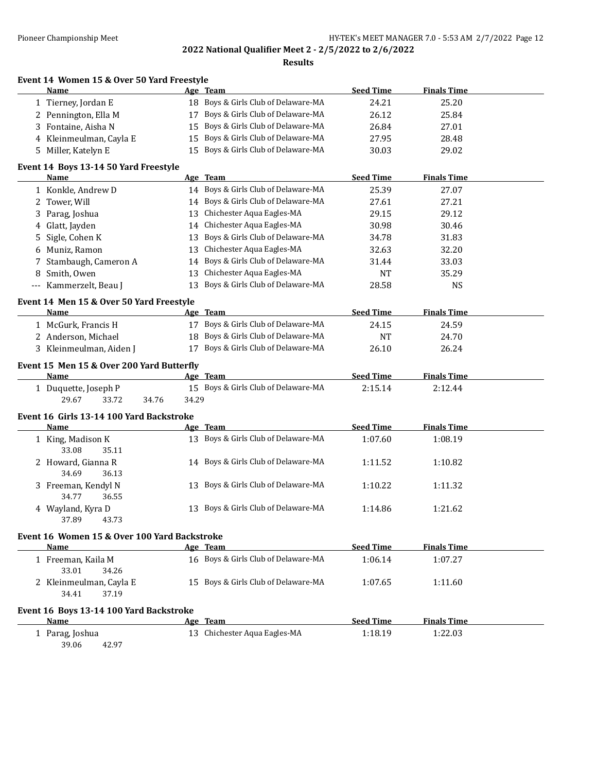**Results**

|  |  | Event 14 Women 15 & Over 50 Yard Freestyle |
|--|--|--------------------------------------------|
|  |  |                                            |

| <b>Name</b>             | Age Team                            | <b>Seed Time</b> | <b>Finals Time</b> |  |
|-------------------------|-------------------------------------|------------------|--------------------|--|
| 1 Tierney, Jordan E     | 18 Boys & Girls Club of Delaware-MA | 24.21            | 25.20              |  |
| 2 Pennington, Ella M    | 17 Boys & Girls Club of Delaware-MA | 26.12            | 25.84              |  |
| 3 Fontaine, Aisha N     | 15 Boys & Girls Club of Delaware-MA | 26.84            | 27.01              |  |
| 4 Kleinmeulman, Cayla E | 15 Boys & Girls Club of Delaware-MA | 27.95            | 28.48              |  |
| 5 Miller, Katelyn E     | 15 Boys & Girls Club of Delaware-MA | 30.03            | 29.02              |  |

### **Event 14 Boys 13-14 50 Yard Freestyle**

|     | Name                                      |       | Age Team                            | <b>Seed Time</b> | <b>Finals Time</b> |  |
|-----|-------------------------------------------|-------|-------------------------------------|------------------|--------------------|--|
|     | 1 Konkle, Andrew D                        |       | 14 Boys & Girls Club of Delaware-MA | 25.39            | 27.07              |  |
| 2   | Tower, Will                               | 14    | Boys & Girls Club of Delaware-MA    | 27.61            | 27.21              |  |
| 3   | Parag, Joshua                             | 13    | Chichester Aqua Eagles-MA           | 29.15            | 29.12              |  |
| 4   | Glatt, Jayden                             | 14    | Chichester Aqua Eagles-MA           | 30.98            | 30.46              |  |
| 5   | Sigle, Cohen K                            | 13    | Boys & Girls Club of Delaware-MA    | 34.78            | 31.83              |  |
| 6   | Muniz, Ramon                              | 13    | Chichester Aqua Eagles-MA           | 32.63            | 32.20              |  |
|     | Stambaugh, Cameron A                      | 14    | Boys & Girls Club of Delaware-MA    | 31.44            | 33.03              |  |
| 8   | Smith, Owen                               | 13    | Chichester Aqua Eagles-MA           | <b>NT</b>        | 35.29              |  |
| --- | Kammerzelt, Beau J                        | 13    | Boys & Girls Club of Delaware-MA    | 28.58            | <b>NS</b>          |  |
|     | Event 14 Men 15 & Over 50 Yard Freestyle  |       |                                     |                  |                    |  |
|     | <b>Name</b>                               |       | Age Team                            | <b>Seed Time</b> | <b>Finals Time</b> |  |
|     | 1 McGurk, Francis H                       | 17    | Boys & Girls Club of Delaware-MA    | 24.15            | 24.59              |  |
|     | 2 Anderson, Michael                       | 18    | Boys & Girls Club of Delaware-MA    | <b>NT</b>        | 24.70              |  |
|     | 3 Kleinmeulman, Aiden J                   | 17    | Boys & Girls Club of Delaware-MA    | 26.10            | 26.24              |  |
|     | Event 15 Men 15 & Over 200 Yard Butterfly |       |                                     |                  |                    |  |
|     | <b>Name</b>                               |       | Age Team                            | <b>Seed Time</b> | <b>Finals Time</b> |  |
|     | 1 Duquette, Joseph P                      |       | 15 Boys & Girls Club of Delaware-MA | 2:15.14          | 2:12.44            |  |
|     | 29.67<br>33.72<br>34.76                   | 34.29 |                                     |                  |                    |  |
|     | Event 16 Girls 13-14 100 Yard Backstroke  |       |                                     |                  |                    |  |
|     | <b>Name</b>                               |       | Age Team                            | <b>Seed Time</b> | <b>Finals Time</b> |  |
|     | 1 King, Madison K                         |       | 13 Boys & Girls Club of Delaware-MA | 1:07.60          | 1:08.19            |  |
|     | 33.08<br>35.11                            |       |                                     |                  |                    |  |
|     | 2 Howard, Gianna R                        |       | 14 Boys & Girls Club of Delaware-MA | 1:11.52          | 1:10.82            |  |
|     | 34.69<br>36.13                            |       |                                     |                  |                    |  |
|     | 3 Freeman, Kendyl N                       |       | 13 Boys & Girls Club of Delaware-MA | 1:10.22          | 1:11.32            |  |
|     | 34.77<br>36.55                            |       |                                     |                  |                    |  |
|     | 4 Wayland, Kyra D                         | 13    | Boys & Girls Club of Delaware-MA    | 1:14.86          | 1:21.62            |  |
|     | 37.89<br>43.73                            |       |                                     |                  |                    |  |
|     |                                           |       |                                     |                  |                    |  |

# **Event 16 Women 15 & Over 100 Yard Backstroke**

| Name                                                        | Age Team                            | <b>Seed Time</b> | <b>Finals Time</b> |  |
|-------------------------------------------------------------|-------------------------------------|------------------|--------------------|--|
| l - Freeman, Kaila M                                        | 16 Boys & Girls Club of Delaware-MA | 1:06.14          | 1:07.27            |  |
| 33.01<br>34.26<br>2 Kleinmeulman, Cayla E<br>34.41<br>37.19 | 15 Boys & Girls Club of Delaware-MA | 1:07.65          | 1:11.60            |  |
| Event 16 Boys 13-14 100 Yard Backstroke                     |                                     |                  |                    |  |

### **Age** Team **Seed Time Finals Time** 1 Parag, Joshua 13 Chichester Aqua Eagles-MA 1:18.19 1:22.03 39.06 42.97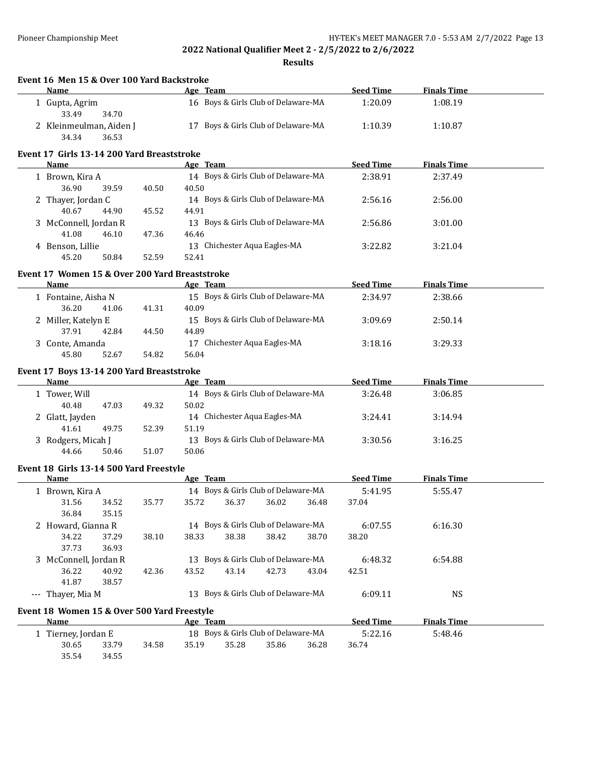**Event 16 Men 15 & Over 100 Yard Backstroke**

**2022 National Qualifier Meet 2 - 2/5/2022 to 2/6/2022**

| Name                                                |       |       | Age Team                            |       |       | <b>Seed Time</b> | <b>Finals Time</b> |  |
|-----------------------------------------------------|-------|-------|-------------------------------------|-------|-------|------------------|--------------------|--|
| 1 Gupta, Agrim<br>33.49<br>34.70                    |       |       | 16 Boys & Girls Club of Delaware-MA |       |       | 1:20.09          | 1:08.19            |  |
| 2 Kleinmeulman, Aiden J<br>34.34<br>36.53           |       |       | 17 Boys & Girls Club of Delaware-MA |       |       | 1:10.39          | 1:10.87            |  |
| Event 17 Girls 13-14 200 Yard Breaststroke          |       |       |                                     |       |       |                  |                    |  |
| Name                                                |       |       | Age Team                            |       |       | <b>Seed Time</b> | <b>Finals Time</b> |  |
| 1 Brown, Kira A                                     |       |       | 14 Boys & Girls Club of Delaware-MA |       |       | 2:38.91          | 2:37.49            |  |
| 36.90<br>39.59                                      | 40.50 | 40.50 |                                     |       |       |                  |                    |  |
| 2 Thayer, Jordan C                                  |       |       | 14 Boys & Girls Club of Delaware-MA |       |       | 2:56.16          | 2:56.00            |  |
| 40.67<br>44.90                                      | 45.52 | 44.91 |                                     |       |       |                  |                    |  |
| 3 McConnell, Jordan R                               |       |       | 13 Boys & Girls Club of Delaware-MA |       |       | 2:56.86          | 3:01.00            |  |
| 41.08<br>46.10                                      | 47.36 | 46.46 |                                     |       |       |                  |                    |  |
|                                                     |       |       | 13 Chichester Aqua Eagles-MA        |       |       |                  |                    |  |
| 4 Benson, Lillie<br>45.20                           | 52.59 | 52.41 |                                     |       |       | 3:22.82          | 3:21.04            |  |
| 50.84                                               |       |       |                                     |       |       |                  |                    |  |
| Event 17 Women 15 & Over 200 Yard Breaststroke      |       |       |                                     |       |       |                  |                    |  |
| <b>Name</b>                                         |       |       | Age Team                            |       |       | <b>Seed Time</b> | <b>Finals Time</b> |  |
| 1 Fontaine, Aisha N                                 |       |       | 15 Boys & Girls Club of Delaware-MA |       |       | 2:34.97          | 2:38.66            |  |
| 36.20<br>41.06                                      | 41.31 | 40.09 |                                     |       |       |                  |                    |  |
| 2 Miller, Katelyn E                                 |       |       | 15 Boys & Girls Club of Delaware-MA |       |       | 3:09.69          | 2:50.14            |  |
| 37.91<br>42.84                                      | 44.50 | 44.89 |                                     |       |       |                  |                    |  |
| 3 Conte, Amanda                                     |       |       | 17 Chichester Aqua Eagles-MA        |       |       | 3:18.16          | 3:29.33            |  |
| 45.80<br>52.67                                      | 54.82 | 56.04 |                                     |       |       |                  |                    |  |
|                                                     |       |       |                                     |       |       |                  |                    |  |
| Event 17 Boys 13-14 200 Yard Breaststroke<br>Name   |       |       | Age Team                            |       |       | <b>Seed Time</b> | <b>Finals Time</b> |  |
|                                                     |       |       | 14 Boys & Girls Club of Delaware-MA |       |       |                  |                    |  |
| 1 Tower, Will<br>40.48<br>47.03                     |       | 50.02 |                                     |       |       | 3:26.48          | 3:06.85            |  |
|                                                     | 49.32 |       |                                     |       |       |                  |                    |  |
| 2 Glatt, Jayden<br>49.75                            |       |       | 14 Chichester Aqua Eagles-MA        |       |       | 3:24.41          | 3:14.94            |  |
| 41.61                                               | 52.39 | 51.19 |                                     |       |       |                  |                    |  |
| 3 Rodgers, Micah J                                  |       |       | 13 Boys & Girls Club of Delaware-MA |       |       | 3:30.56          | 3:16.25            |  |
| 44.66<br>50.46                                      | 51.07 | 50.06 |                                     |       |       |                  |                    |  |
| Event 18 Girls 13-14 500 Yard Freestyle             |       |       |                                     |       |       |                  |                    |  |
| <b>Name</b>                                         |       |       | Age Team                            |       |       | <b>Seed Time</b> | <b>Finals Time</b> |  |
| 1 Brown, Kira A                                     |       |       | 14 Boys & Girls Club of Delaware-MA |       |       | 5:41.95          | 5:55.47            |  |
| 31.56<br>34.52                                      | 35.77 | 35.72 | 36.37                               | 36.02 | 36.48 | 37.04            |                    |  |
| 36.84<br>35.15                                      |       |       |                                     |       |       |                  |                    |  |
| 2 Howard, Gianna R                                  |       |       | 14 Boys & Girls Club of Delaware-MA |       |       | 6:07.55          | 6:16.30            |  |
| 34.22<br>37.29                                      | 38.10 | 38.33 | 38.38                               | 38.42 | 38.70 | 38.20            |                    |  |
| 37.73<br>36.93                                      |       |       |                                     |       |       |                  |                    |  |
| 3 McConnell, Jordan R                               |       |       | 13 Boys & Girls Club of Delaware-MA |       |       | 6:48.32          | 6:54.88            |  |
| 36.22<br>40.92                                      | 42.36 | 43.52 | 43.14                               | 42.73 | 43.04 | 42.51            |                    |  |
| 41.87<br>38.57                                      |       |       |                                     |       |       |                  |                    |  |
| --- Thayer, Mia M                                   |       |       | 13 Boys & Girls Club of Delaware-MA |       |       | 6:09.11          | <b>NS</b>          |  |
|                                                     |       |       |                                     |       |       |                  |                    |  |
| Event 18 Women 15 & Over 500 Yard Freestyle<br>Name |       |       |                                     |       |       | <b>Seed Time</b> | <b>Finals Time</b> |  |
|                                                     |       |       | Age Team                            |       |       |                  |                    |  |
| 1 Tierney, Jordan E                                 |       |       | 18 Boys & Girls Club of Delaware-MA |       |       | 5:22.16          | 5:48.46            |  |
| 30.65<br>33.79                                      | 34.58 | 35.19 | 35.28                               | 35.86 | 36.28 | 36.74            |                    |  |
| 35.54<br>34.55                                      |       |       |                                     |       |       |                  |                    |  |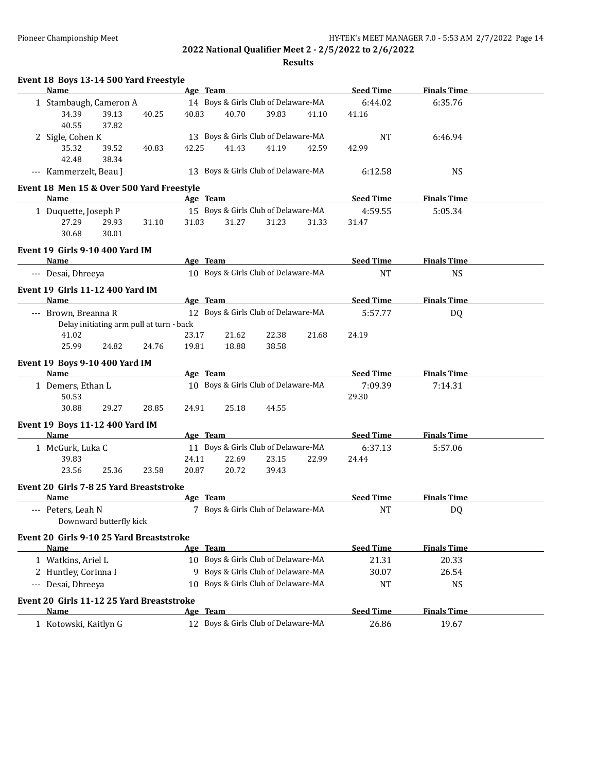| Event 18 Boys 13-14 500 Yard Freestyle          |          |                                     |       |                  |                    |  |
|-------------------------------------------------|----------|-------------------------------------|-------|------------------|--------------------|--|
| <b>Name</b>                                     | Age Team |                                     |       | <b>Seed Time</b> | <b>Finals Time</b> |  |
| 1 Stambaugh, Cameron A                          |          | 14 Boys & Girls Club of Delaware-MA |       | 6:44.02          | 6:35.76            |  |
| 34.39<br>39.13<br>40.25<br>40.55<br>37.82       | 40.83    | 40.70<br>39.83                      | 41.10 | 41.16            |                    |  |
| 2 Sigle, Cohen K                                |          | 13 Boys & Girls Club of Delaware-MA |       | <b>NT</b>        | 6:46.94            |  |
| 35.32<br>39.52<br>40.83                         | 42.25    | 41.43<br>41.19                      | 42.59 | 42.99            |                    |  |
| 42.48<br>38.34                                  |          |                                     |       |                  |                    |  |
| --- Kammerzelt, Beau J                          |          | 13 Boys & Girls Club of Delaware-MA |       | 6:12.58          | <b>NS</b>          |  |
| Event 18 Men 15 & Over 500 Yard Freestyle       |          |                                     |       |                  |                    |  |
| Name                                            | Age Team |                                     |       | <b>Seed Time</b> | <b>Finals Time</b> |  |
| 1 Duquette, Joseph P                            |          | 15 Boys & Girls Club of Delaware-MA |       | 4:59.55          | 5:05.34            |  |
| 27.29<br>29.93<br>31.10                         | 31.03    | 31.27<br>31.23                      | 31.33 | 31.47            |                    |  |
| 30.68<br>30.01                                  |          |                                     |       |                  |                    |  |
| Event 19 Girls 9-10 400 Yard IM                 |          |                                     |       |                  |                    |  |
| Name                                            | Age Team |                                     |       | <b>Seed Time</b> | <b>Finals Time</b> |  |
| --- Desai, Dhreeya                              |          | 10 Boys & Girls Club of Delaware-MA |       | <b>NT</b>        | <b>NS</b>          |  |
| Event 19 Girls 11-12 400 Yard IM                |          |                                     |       |                  |                    |  |
| Name                                            | Age Team |                                     |       | <b>Seed Time</b> | <b>Finals Time</b> |  |
| --- Brown, Breanna R                            |          | 12 Boys & Girls Club of Delaware-MA |       | 5:57.77          | DQ                 |  |
| Delay initiating arm pull at turn - back        |          |                                     |       |                  |                    |  |
| 41.02                                           | 23.17    | 22.38<br>21.62                      | 21.68 | 24.19            |                    |  |
| 25.99<br>24.82<br>24.76                         | 19.81    | 18.88<br>38.58                      |       |                  |                    |  |
| <b>Event 19 Boys 9-10 400 Yard IM</b><br>Name   | Age Team |                                     |       | <b>Seed Time</b> | <b>Finals Time</b> |  |
| 1 Demers, Ethan L                               |          | 10 Boys & Girls Club of Delaware-MA |       | 7:09.39          | 7:14.31            |  |
| 50.53                                           |          |                                     |       | 29.30            |                    |  |
| 30.88<br>29.27<br>28.85                         | 24.91    | 25.18<br>44.55                      |       |                  |                    |  |
|                                                 |          |                                     |       |                  |                    |  |
| Event 19 Boys 11-12 400 Yard IM<br>Name         | Age Team |                                     |       | <b>Seed Time</b> | <b>Finals Time</b> |  |
|                                                 |          | 11 Boys & Girls Club of Delaware-MA |       |                  |                    |  |
| 1 McGurk, Luka C<br>39.83                       | 24.11    | 22.69<br>23.15                      | 22.99 | 6:37.13<br>24.44 | 5:57.06            |  |
| 23.56<br>25.36<br>23.58                         | 20.87    | 20.72<br>39.43                      |       |                  |                    |  |
|                                                 |          |                                     |       |                  |                    |  |
| Event 20 Girls 7-8 25 Yard Breaststroke<br>Name | Age Team |                                     |       | <b>Seed Time</b> | <b>Finals Time</b> |  |
|                                                 |          | 7 Boys & Girls Club of Delaware-MA  |       | $\rm{NT}$        |                    |  |
| Peters, Leah N<br>Downward butterfly kick       |          |                                     |       |                  | DQ                 |  |
| Event 20 Girls 9-10 25 Yard Breaststroke        |          |                                     |       |                  |                    |  |
| Name                                            | Age Team |                                     |       | <b>Seed Time</b> | <b>Finals Time</b> |  |
| 1 Watkins, Ariel L                              |          | 10 Boys & Girls Club of Delaware-MA |       | 21.31            | 20.33              |  |
| 2 Huntley, Corinna I                            | 9        | Boys & Girls Club of Delaware-MA    |       | 30.07            | 26.54              |  |
| --- Desai, Dhreeya                              | 10       | Boys & Girls Club of Delaware-MA    |       | <b>NT</b>        | <b>NS</b>          |  |
| Event 20 Girls 11-12 25 Yard Breaststroke       |          |                                     |       |                  |                    |  |
| <b>Name</b>                                     | Age Team |                                     |       | <b>Seed Time</b> | <b>Finals Time</b> |  |
| 1 Kotowski, Kaitlyn G                           |          | 12 Boys & Girls Club of Delaware-MA |       | 26.86            | 19.67              |  |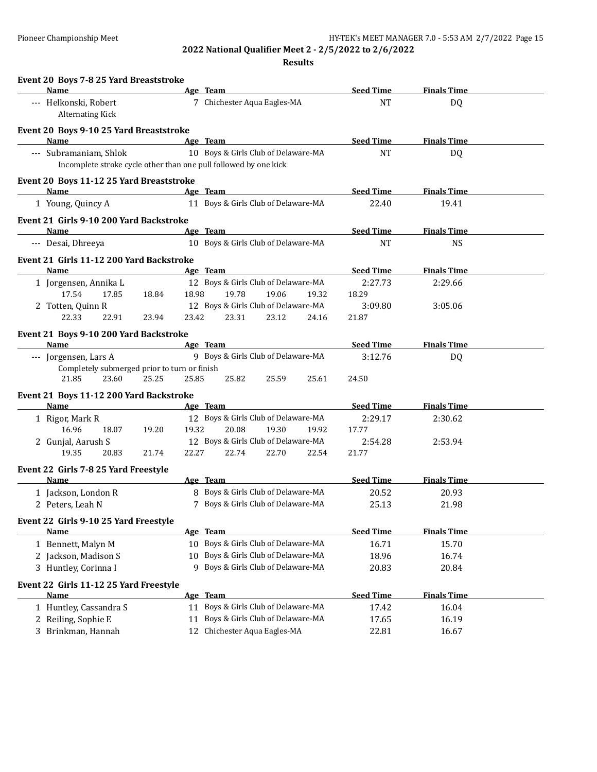| Event 20 Boys 7-8 25 Yard Breaststroke                                                     |                                                                         | <b>Seed Time</b> | <b>Finals Time</b> |
|--------------------------------------------------------------------------------------------|-------------------------------------------------------------------------|------------------|--------------------|
| Name                                                                                       | Age Team<br>7 Chichester Aqua Eagles-MA                                 | <b>NT</b>        |                    |
| --- Helkonski, Robert<br><b>Alternating Kick</b>                                           |                                                                         |                  | DQ                 |
| Event 20 Boys 9-10 25 Yard Breaststroke                                                    |                                                                         |                  |                    |
| Name                                                                                       | Age Team<br>10 Boys & Girls Club of Delaware-MA                         | <b>Seed Time</b> | <b>Finals Time</b> |
| --- Subramaniam, Shlok<br>Incomplete stroke cycle other than one pull followed by one kick |                                                                         | <b>NT</b>        | DQ                 |
| Event 20 Boys 11-12 25 Yard Breaststroke<br>Name                                           | Age Team                                                                | <b>Seed Time</b> | <b>Finals Time</b> |
| 1 Young, Quincy A                                                                          | 11 Boys & Girls Club of Delaware-MA                                     | 22.40            | 19.41              |
| Event 21 Girls 9-10 200 Yard Backstroke                                                    |                                                                         |                  |                    |
| Name                                                                                       | Age Team                                                                | <b>Seed Time</b> | <b>Finals Time</b> |
| --- Desai, Dhreeya                                                                         | 10 Boys & Girls Club of Delaware-MA                                     | <b>NT</b>        | <b>NS</b>          |
| Event 21 Girls 11-12 200 Yard Backstroke                                                   |                                                                         |                  |                    |
| Name                                                                                       | Age Team                                                                | <b>Seed Time</b> | <b>Finals Time</b> |
| 1 Jorgensen, Annika L<br>17.54<br>17.85<br>18.84                                           | 12 Boys & Girls Club of Delaware-MA<br>19.78<br>18.98<br>19.06<br>19.32 | 2:27.73<br>18.29 | 2:29.66            |
| 2 Totten, Quinn R                                                                          | 12 Boys & Girls Club of Delaware-MA                                     | 3:09.80          | 3:05.06            |
| 22.33<br>22.91<br>23.94                                                                    | 23.31<br>23.12<br>23.42<br>24.16                                        | 21.87            |                    |
|                                                                                            |                                                                         |                  |                    |
| Event 21 Boys 9-10 200 Yard Backstroke<br>Name                                             | Age Team                                                                | <b>Seed Time</b> | <b>Finals Time</b> |
| --- Jorgensen, Lars A                                                                      | 9 Boys & Girls Club of Delaware-MA                                      | 3:12.76          | DQ                 |
| Completely submerged prior to turn or finish                                               |                                                                         |                  |                    |
| 21.85<br>23.60<br>25.25                                                                    | 25.85<br>25.82<br>25.59<br>25.61                                        | 24.50            |                    |
| Event 21 Boys 11-12 200 Yard Backstroke                                                    |                                                                         |                  |                    |
| Name                                                                                       | Age Team                                                                | <b>Seed Time</b> | <b>Finals Time</b> |
| 1 Rigor, Mark R                                                                            | 12 Boys & Girls Club of Delaware-MA                                     | 2:29.17          | 2:30.62            |
| 16.96<br>18.07<br>19.20                                                                    | 20.08<br>19.32<br>19.30<br>19.92                                        | 17.77            |                    |
| 2 Gunjal, Aarush S                                                                         | 12 Boys & Girls Club of Delaware-MA                                     | 2:54.28          | 2:53.94            |
| 19.35<br>20.83<br>21.74                                                                    | 22.27<br>22.74<br>22.70<br>22.54                                        | 21.77            |                    |
| Event 22 Girls 7-8 25 Yard Freestyle                                                       |                                                                         |                  |                    |
| Name                                                                                       | Age Team                                                                | <b>Seed Time</b> | <b>Finals Time</b> |
| 1 Jackson, London R                                                                        | 8 Boys & Girls Club of Delaware-MA                                      | 20.52            | 20.93              |
| 2 Peters, Leah N                                                                           | 7 Boys & Girls Club of Delaware-MA                                      | 25.13            | 21.98              |
| Event 22 Girls 9-10 25 Yard Freestyle                                                      |                                                                         |                  |                    |
| Name                                                                                       | Age Team                                                                | <b>Seed Time</b> | <b>Finals Time</b> |
| 1 Bennett, Malyn M                                                                         | 10 Boys & Girls Club of Delaware-MA                                     | 16.71            | 15.70              |
| 2 Jackson, Madison S                                                                       | Boys & Girls Club of Delaware-MA<br>10                                  | 18.96            | 16.74              |
| 3 Huntley, Corinna I                                                                       | 9 Boys & Girls Club of Delaware-MA                                      | 20.83            | 20.84              |
| Event 22 Girls 11-12 25 Yard Freestyle                                                     |                                                                         |                  |                    |
| Name                                                                                       | Age Team                                                                | <b>Seed Time</b> | <b>Finals Time</b> |
| 1 Huntley, Cassandra S                                                                     | Boys & Girls Club of Delaware-MA<br>11                                  | 17.42            | 16.04              |
| Reiling, Sophie E<br>2                                                                     | Boys & Girls Club of Delaware-MA<br>11<br>Chichester Aqua Eagles-MA     | 17.65            | 16.19              |
| Brinkman, Hannah<br>3                                                                      | 12                                                                      | 22.81            | 16.67              |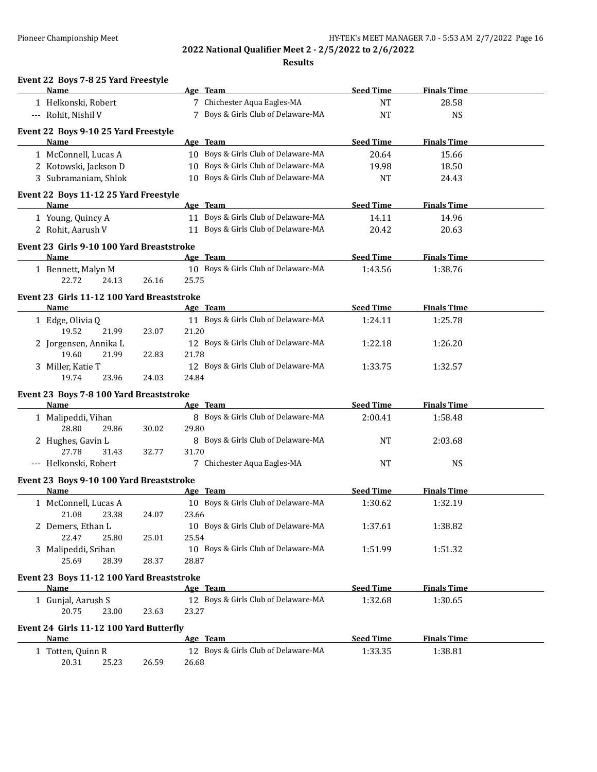| Event 22 Boys 7-8 25 Yard Freestyle<br>Name              |       |       | Age Team                            | <b>Seed Time</b> | <b>Finals Time</b> |  |
|----------------------------------------------------------|-------|-------|-------------------------------------|------------------|--------------------|--|
|                                                          |       |       |                                     |                  |                    |  |
| 1 Helkonski, Robert                                      |       |       | 7 Chichester Aqua Eagles-MA         | <b>NT</b>        | 28.58              |  |
| --- Rohit, Nishil V                                      |       |       | 7 Boys & Girls Club of Delaware-MA  | <b>NT</b>        | <b>NS</b>          |  |
| Event 22 Boys 9-10 25 Yard Freestyle                     |       |       |                                     |                  |                    |  |
| <b>Name</b>                                              |       |       | Age Team                            | <b>Seed Time</b> | <b>Finals Time</b> |  |
| 1 McConnell, Lucas A                                     |       |       | 10 Boys & Girls Club of Delaware-MA | 20.64            | 15.66              |  |
| 2 Kotowski, Jackson D                                    |       |       | 10 Boys & Girls Club of Delaware-MA | 19.98            | 18.50              |  |
| 3 Subramaniam, Shlok                                     |       |       | 10 Boys & Girls Club of Delaware-MA | NT               | 24.43              |  |
| Event 22 Boys 11-12 25 Yard Freestyle                    |       |       |                                     |                  |                    |  |
| Name                                                     |       |       | Age Team                            | <b>Seed Time</b> | <b>Finals Time</b> |  |
| 1 Young, Quincy A                                        |       |       | 11 Boys & Girls Club of Delaware-MA | 14.11            | 14.96              |  |
| 2 Rohit, Aarush V                                        |       |       | 11 Boys & Girls Club of Delaware-MA | 20.42            | 20.63              |  |
| Event 23 Girls 9-10 100 Yard Breaststroke                |       |       |                                     |                  |                    |  |
| Name                                                     |       |       | Age Team                            | <b>Seed Time</b> | <b>Finals Time</b> |  |
| 1 Bennett, Malyn M                                       |       |       | 10 Boys & Girls Club of Delaware-MA | 1:43.56          | 1:38.76            |  |
| 22.72<br>24.13                                           | 26.16 | 25.75 |                                     |                  |                    |  |
| Event 23 Girls 11-12 100 Yard Breaststroke               |       |       |                                     |                  |                    |  |
| <b>Name</b>                                              |       |       | Age Team                            | <b>Seed Time</b> | <b>Finals Time</b> |  |
| 1 Edge, Olivia Q                                         |       |       | 11 Boys & Girls Club of Delaware-MA | 1:24.11          | 1:25.78            |  |
| 19.52<br>21.99                                           | 23.07 | 21.20 |                                     |                  |                    |  |
| 2 Jorgensen, Annika L                                    |       |       | 12 Boys & Girls Club of Delaware-MA | 1:22.18          | 1:26.20            |  |
| 19.60<br>21.99                                           | 22.83 | 21.78 |                                     |                  |                    |  |
| 3 Miller, Katie T                                        |       |       | 12 Boys & Girls Club of Delaware-MA | 1:33.75          | 1:32.57            |  |
| 19.74<br>23.96                                           | 24.03 | 24.84 |                                     |                  |                    |  |
| Event 23 Boys 7-8 100 Yard Breaststroke                  |       |       |                                     |                  |                    |  |
| Name                                                     |       |       | Age Team                            | <b>Seed Time</b> | <b>Finals Time</b> |  |
| 1 Malipeddi, Vihan                                       |       |       | 8 Boys & Girls Club of Delaware-MA  | 2:00.41          | 1:58.48            |  |
| 28.80<br>29.86                                           | 30.02 | 29.80 |                                     |                  |                    |  |
| 2 Hughes, Gavin L                                        |       |       | 8 Boys & Girls Club of Delaware-MA  | <b>NT</b>        | 2:03.68            |  |
| 27.78<br>31.43                                           | 32.77 | 31.70 |                                     |                  |                    |  |
| --- Helkonski, Robert                                    |       |       | 7 Chichester Aqua Eagles-MA         | <b>NT</b>        | <b>NS</b>          |  |
| Event 23 Boys 9-10 100 Yard Breaststroke                 |       |       |                                     |                  |                    |  |
| Name                                                     |       |       | Age Team                            | <b>Seed Time</b> | <b>Finals Time</b> |  |
| 1 McConnell, Lucas A                                     |       |       | 10 Boys & Girls Club of Delaware-MA | 1:30.62          | 1:32.19            |  |
| 21.08<br>23.38                                           | 24.07 | 23.66 |                                     |                  |                    |  |
| 2 Demers, Ethan L                                        |       |       | 10 Boys & Girls Club of Delaware-MA | 1:37.61          | 1:38.82            |  |
| 22.47<br>25.80                                           | 25.01 | 25.54 |                                     |                  |                    |  |
| 3 Malipeddi, Srihan                                      |       |       | 10 Boys & Girls Club of Delaware-MA | 1:51.99          | 1:51.32            |  |
| 25.69<br>28.39                                           | 28.37 | 28.87 |                                     |                  |                    |  |
|                                                          |       |       |                                     |                  |                    |  |
| Event 23 Boys 11-12 100 Yard Breaststroke<br><b>Name</b> |       |       | Age Team                            | <b>Seed Time</b> | <b>Finals Time</b> |  |
|                                                          |       |       |                                     |                  |                    |  |
| 1 Gunjal, Aarush S<br>20.75                              |       | 23.27 | 12 Boys & Girls Club of Delaware-MA | 1:32.68          | 1:30.65            |  |
| 23.00                                                    | 23.63 |       |                                     |                  |                    |  |
| Event 24 Girls 11-12 100 Yard Butterfly                  |       |       |                                     |                  |                    |  |
| <b>Name</b>                                              |       |       | Age Team                            | <b>Seed Time</b> | <b>Finals Time</b> |  |
| 1 Totten, Quinn R                                        |       |       | 12 Boys & Girls Club of Delaware-MA | 1:33.35          | 1:38.81            |  |
| 20.31<br>25.23                                           | 26.59 | 26.68 |                                     |                  |                    |  |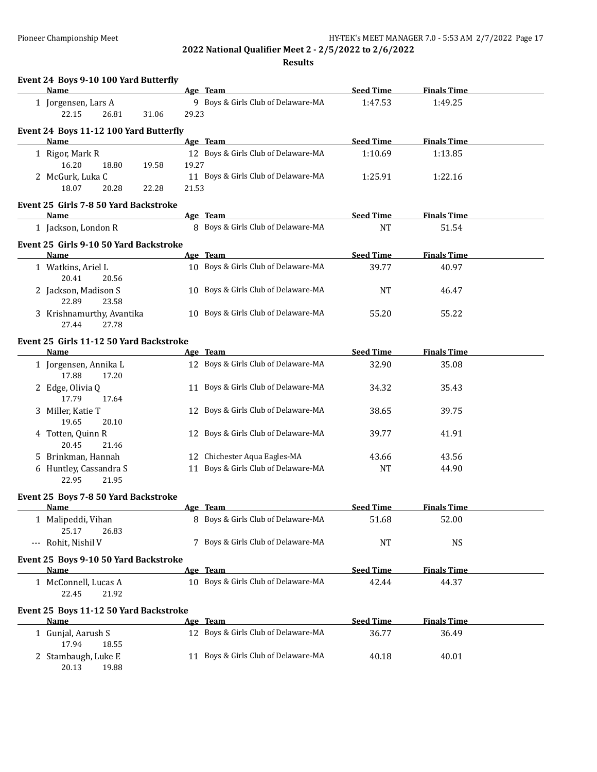| Event 24 Boys 9-10 100 Yard Butterfly<br>Name  |       | Age Team                            | <b>Seed Time</b> | <b>Finals Time</b> |  |
|------------------------------------------------|-------|-------------------------------------|------------------|--------------------|--|
|                                                |       |                                     |                  |                    |  |
| 1 Jorgensen, Lars A<br>22.15<br>26.81<br>31.06 | 29.23 | 9 Boys & Girls Club of Delaware-MA  | 1:47.53          | 1:49.25            |  |
| Event 24 Boys 11-12 100 Yard Butterfly         |       |                                     |                  |                    |  |
| <b>Name</b>                                    |       | Age Team                            | <b>Seed Time</b> | <b>Finals Time</b> |  |
| 1 Rigor, Mark R                                |       | 12 Boys & Girls Club of Delaware-MA | 1:10.69          | 1:13.85            |  |
| 16.20<br>18.80<br>19.58                        | 19.27 |                                     |                  |                    |  |
| 2 McGurk, Luka C                               |       | 11 Boys & Girls Club of Delaware-MA | 1:25.91          | 1:22.16            |  |
| 18.07<br>20.28<br>22.28                        | 21.53 |                                     |                  |                    |  |
| Event 25 Girls 7-8 50 Yard Backstroke          |       |                                     |                  |                    |  |
| Name                                           |       | Age Team                            | <b>Seed Time</b> | <b>Finals Time</b> |  |
| 1 Jackson, London R                            |       | 8 Boys & Girls Club of Delaware-MA  | <b>NT</b>        | 51.54              |  |
| Event 25 Girls 9-10 50 Yard Backstroke         |       |                                     |                  |                    |  |
| <b>Name</b>                                    |       | Age Team                            | <b>Seed Time</b> | <b>Finals Time</b> |  |
| 1 Watkins, Ariel L<br>20.41<br>20.56           |       | 10 Boys & Girls Club of Delaware-MA | 39.77            | 40.97              |  |
| 2 Jackson, Madison S<br>22.89<br>23.58         |       | 10 Boys & Girls Club of Delaware-MA | <b>NT</b>        | 46.47              |  |
| 3 Krishnamurthy, Avantika<br>27.44<br>27.78    |       | 10 Boys & Girls Club of Delaware-MA | 55.20            | 55.22              |  |
| Event 25 Girls 11-12 50 Yard Backstroke        |       |                                     |                  |                    |  |
| Name                                           |       | Age Team                            | <b>Seed Time</b> | <b>Finals Time</b> |  |
| 1 Jorgensen, Annika L<br>17.88<br>17.20        |       | 12 Boys & Girls Club of Delaware-MA | 32.90            | 35.08              |  |
| 2 Edge, Olivia Q<br>17.79<br>17.64             |       | 11 Boys & Girls Club of Delaware-MA | 34.32            | 35.43              |  |
| 3 Miller, Katie T<br>19.65<br>20.10            |       | 12 Boys & Girls Club of Delaware-MA | 38.65            | 39.75              |  |
| 4 Totten, Quinn R<br>20.45<br>21.46            |       | 12 Boys & Girls Club of Delaware-MA | 39.77            | 41.91              |  |
| 5 Brinkman, Hannah                             |       | 12 Chichester Aqua Eagles-MA        | 43.66            | 43.56              |  |
| 6 Huntley, Cassandra S<br>22.95<br>21.95       |       | 11 Boys & Girls Club of Delaware-MA | <b>NT</b>        | 44.90              |  |
| Event 25 Boys 7-8 50 Yard Backstroke           |       |                                     |                  |                    |  |
| Name                                           |       | <u>Age Team</u>                     | <b>Seed Time</b> | <b>Finals Time</b> |  |
| 1 Malipeddi, Vihan<br>25.17<br>26.83           |       | 8 Boys & Girls Club of Delaware-MA  | 51.68            | 52.00              |  |
| --- Rohit, Nishil V                            |       | 7 Boys & Girls Club of Delaware-MA  | <b>NT</b>        | <b>NS</b>          |  |
| Event 25 Boys 9-10 50 Yard Backstroke<br>Name  |       | Age Team                            | <b>Seed Time</b> | <b>Finals Time</b> |  |
| 1 McConnell, Lucas A                           |       | 10 Boys & Girls Club of Delaware-MA | 42.44            | 44.37              |  |
| 22.45<br>21.92                                 |       |                                     |                  |                    |  |
| Event 25 Boys 11-12 50 Yard Backstroke         |       |                                     |                  |                    |  |
| Name                                           |       | Age Team                            | <b>Seed Time</b> | <b>Finals Time</b> |  |
| 1 Gunjal, Aarush S<br>17.94<br>18.55           |       | 12 Boys & Girls Club of Delaware-MA | 36.77            | 36.49              |  |
| 2 Stambaugh, Luke E<br>20.13<br>19.88          |       | 11 Boys & Girls Club of Delaware-MA | 40.18            | 40.01              |  |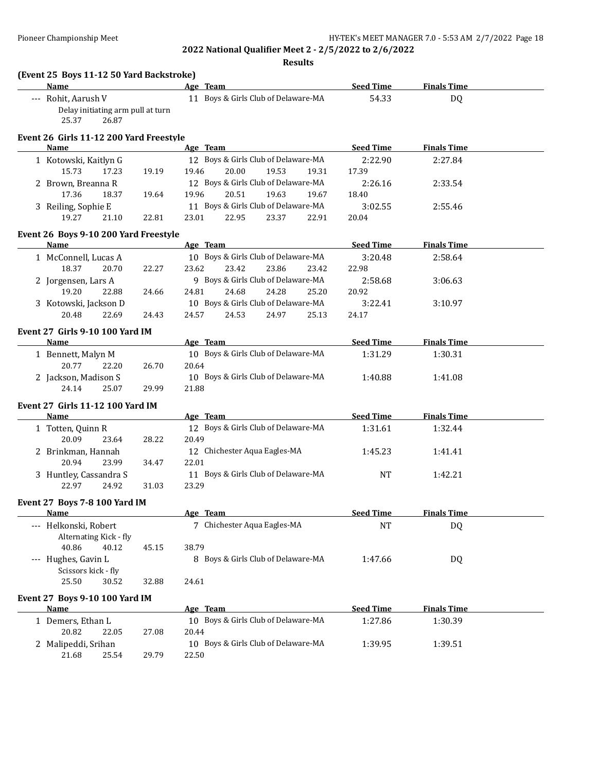| (Event 25 Boys 11-12 50 Yard Backstroke)<br><b>Name</b> |       | Age Team                                     | <b>Seed Time</b> | <b>Finals Time</b> |  |
|---------------------------------------------------------|-------|----------------------------------------------|------------------|--------------------|--|
| --- Rohit, Aarush V                                     |       | 11 Boys & Girls Club of Delaware-MA          | 54.33            | DQ                 |  |
| Delay initiating arm pull at turn<br>25.37<br>26.87     |       |                                              |                  |                    |  |
| Event 26 Girls 11-12 200 Yard Freestyle                 |       |                                              |                  |                    |  |
| Name                                                    |       | Age Team                                     | <b>Seed Time</b> | <b>Finals Time</b> |  |
| 1 Kotowski, Kaitlyn G                                   |       | 12 Boys & Girls Club of Delaware-MA          | 2:22.90          | 2:27.84            |  |
| 15.73<br>17.23                                          | 19.19 | 20.00<br>19.46<br>19.53<br>19.31             | 17.39            |                    |  |
| 2 Brown, Breanna R                                      |       | 12 Boys & Girls Club of Delaware-MA          | 2:26.16          | 2:33.54            |  |
| 17.36<br>18.37                                          | 19.64 | 19.96<br>20.51<br>19.63<br>19.67             | 18.40            |                    |  |
| 3 Reiling, Sophie E                                     |       | 11 Boys & Girls Club of Delaware-MA          | 3:02.55          | 2:55.46            |  |
| 19.27<br>21.10                                          | 22.81 | 23.01<br>22.95<br>23.37<br>22.91             | 20.04            |                    |  |
| Event 26 Boys 9-10 200 Yard Freestyle                   |       |                                              |                  |                    |  |
| Name                                                    |       | Age Team                                     | <b>Seed Time</b> | <b>Finals Time</b> |  |
| 1 McConnell, Lucas A                                    |       | 10 Boys & Girls Club of Delaware-MA          | 3:20.48          | 2:58.64            |  |
| 18.37<br>20.70                                          | 22.27 | 23.62<br>23.42<br>23.86<br>23.42             | 22.98            |                    |  |
| 2 Jorgensen, Lars A                                     |       | 9 Boys & Girls Club of Delaware-MA           | 2:58.68          | 3:06.63            |  |
| 19.20<br>22.88                                          | 24.66 | 24.68<br>24.28<br>25.20<br>24.81             | 20.92            |                    |  |
| 3 Kotowski, Jackson D                                   |       | 10 Boys & Girls Club of Delaware-MA          | 3:22.41          | 3:10.97            |  |
| 22.69<br>20.48                                          | 24.43 | 25.13<br>24.57<br>24.53<br>24.97             | 24.17            |                    |  |
| Event 27 Girls 9-10 100 Yard IM                         |       |                                              |                  |                    |  |
| <b>Name</b>                                             |       | Age Team                                     | <b>Seed Time</b> | <b>Finals Time</b> |  |
| 1 Bennett, Malyn M                                      |       | 10 Boys & Girls Club of Delaware-MA          | 1:31.29          | 1:30.31            |  |
| 20.77<br>22.20                                          | 26.70 | 20.64                                        |                  |                    |  |
| 2 Jackson, Madison S                                    |       | 10 Boys & Girls Club of Delaware-MA          | 1:40.88          | 1:41.08            |  |
| 24.14<br>25.07                                          | 29.99 | 21.88                                        |                  |                    |  |
| Event 27 Girls 11-12 100 Yard IM                        |       |                                              |                  |                    |  |
| Name                                                    |       | Age Team                                     | <b>Seed Time</b> | <b>Finals Time</b> |  |
| 1 Totten, Quinn R                                       |       | 12 Boys & Girls Club of Delaware-MA          | 1:31.61          | 1:32.44            |  |
| 20.09<br>23.64                                          | 28.22 | 20.49                                        |                  |                    |  |
| 2 Brinkman, Hannah                                      |       | 12 Chichester Aqua Eagles-MA                 | 1:45.23          | 1:41.41            |  |
| 20.94<br>23.99                                          | 34.47 | 22.01                                        |                  |                    |  |
| 3 Huntley, Cassandra S                                  |       | 11 Boys & Girls Club of Delaware-MA          | <b>NT</b>        | 1:42.21            |  |
| 22.97<br>24.92                                          | 31.03 | 23.29                                        |                  |                    |  |
|                                                         |       |                                              |                  |                    |  |
| <b>Event 27 Boys 7-8 100 Yard IM</b>                    |       |                                              |                  |                    |  |
| <u>Name</u>                                             |       | Age Team                                     | <b>Seed Time</b> | <b>Finals Time</b> |  |
| --- Helkonski, Robert                                   |       | 7 Chichester Aqua Eagles-MA                  | NT               | <b>DQ</b>          |  |
| Alternating Kick - fly                                  |       |                                              |                  |                    |  |
| 40.86<br>40.12                                          | 45.15 | 38.79                                        |                  |                    |  |
| --- Hughes, Gavin L                                     |       | 8 Boys & Girls Club of Delaware-MA           | 1:47.66          | DQ                 |  |
| Scissors kick - fly<br>25.50<br>30.52                   | 32.88 | 24.61                                        |                  |                    |  |
|                                                         |       |                                              |                  |                    |  |
| <b>Event 27 Boys 9-10 100 Yard IM</b>                   |       |                                              |                  |                    |  |
| <u>Name</u>                                             |       | <u>Age Team</u>                              | <b>Seed Time</b> | <b>Finals Time</b> |  |
| 1 Demers, Ethan L                                       |       | 10 Boys & Girls Club of Delaware-MA          | 1:27.86          | 1:30.39            |  |
|                                                         |       |                                              |                  |                    |  |
| 20.82<br>22.05                                          | 27.08 | 20.44                                        |                  |                    |  |
| 2 Malipeddi, Srihan<br>21.68<br>25.54                   | 29.79 | 10 Boys & Girls Club of Delaware-MA<br>22.50 | 1:39.95          | 1:39.51            |  |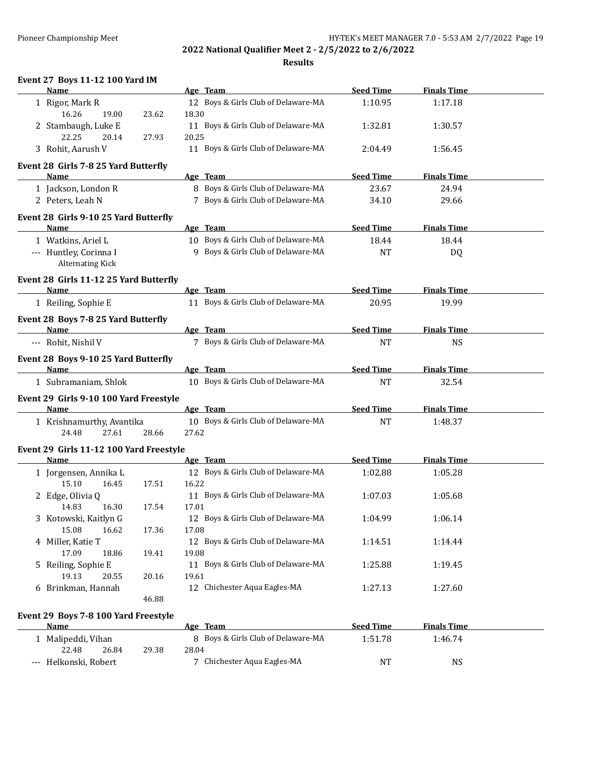**Results**

| Event 27 Boys 11-12 100 Yard IM              |       |       |                                     |                  |                    |  |
|----------------------------------------------|-------|-------|-------------------------------------|------------------|--------------------|--|
| Name                                         |       |       | Age Team                            | <b>Seed Time</b> | <b>Finals Time</b> |  |
| 1 Rigor, Mark R                              |       |       | 12 Boys & Girls Club of Delaware-MA | 1:10.95          | 1:17.18            |  |
| 16.26<br>19.00                               | 23.62 | 18.30 |                                     |                  |                    |  |
| 2 Stambaugh, Luke E                          |       |       | 11 Boys & Girls Club of Delaware-MA | 1:32.81          | 1:30.57            |  |
| 22.25<br>20.14                               | 27.93 | 20.25 |                                     |                  |                    |  |
| 3 Rohit, Aarush V                            |       |       | 11 Boys & Girls Club of Delaware-MA | 2:04.49          | 1:56.45            |  |
|                                              |       |       |                                     |                  |                    |  |
| Event 28 Girls 7-8 25 Yard Butterfly<br>Name |       |       | Age Team                            | <b>Seed Time</b> | <b>Finals Time</b> |  |
|                                              |       |       | 8 Boys & Girls Club of Delaware-MA  |                  | 24.94              |  |
| 1 Jackson, London R                          |       |       |                                     | 23.67            |                    |  |
| 2 Peters, Leah N                             |       |       | 7 Boys & Girls Club of Delaware-MA  | 34.10            | 29.66              |  |
| Event 28 Girls 9-10 25 Yard Butterfly        |       |       |                                     |                  |                    |  |
| Name                                         |       |       | Age Team                            | <b>Seed Time</b> | <b>Finals Time</b> |  |
| 1 Watkins, Ariel L                           |       |       | 10 Boys & Girls Club of Delaware-MA | 18.44            | 18.44              |  |
| --- Huntley, Corinna I                       |       |       | 9 Boys & Girls Club of Delaware-MA  | <b>NT</b>        | DQ                 |  |
| <b>Alternating Kick</b>                      |       |       |                                     |                  |                    |  |
|                                              |       |       |                                     |                  |                    |  |
| Event 28 Girls 11-12 25 Yard Butterfly       |       |       |                                     |                  |                    |  |
| Name                                         |       |       | Age Team                            | <b>Seed Time</b> | <b>Finals Time</b> |  |
| 1 Reiling, Sophie E                          |       |       | 11 Boys & Girls Club of Delaware-MA | 20.95            | 19.99              |  |
| Event 28 Boys 7-8 25 Yard Butterfly          |       |       |                                     |                  |                    |  |
| Name                                         |       |       | Age Team                            | <b>Seed Time</b> | <b>Finals Time</b> |  |
| --- Rohit, Nishil V                          |       |       | 7 Boys & Girls Club of Delaware-MA  | <b>NT</b>        | <b>NS</b>          |  |
|                                              |       |       |                                     |                  |                    |  |
| Event 28 Boys 9-10 25 Yard Butterfly         |       |       |                                     |                  |                    |  |
| Name                                         |       |       | Age Team                            | <b>Seed Time</b> | <b>Finals Time</b> |  |
| 1 Subramaniam, Shlok                         |       |       | 10 Boys & Girls Club of Delaware-MA | <b>NT</b>        | 32.54              |  |
| Event 29 Girls 9-10 100 Yard Freestyle       |       |       |                                     |                  |                    |  |
| Name                                         |       |       | Age Team                            | <b>Seed Time</b> | <b>Finals Time</b> |  |
| 1 Krishnamurthy, Avantika                    |       |       | 10 Boys & Girls Club of Delaware-MA | <b>NT</b>        | 1:48.37            |  |
| 27.61<br>24.48                               | 28.66 | 27.62 |                                     |                  |                    |  |
|                                              |       |       |                                     |                  |                    |  |
| Event 29 Girls 11-12 100 Yard Freestyle      |       |       |                                     |                  |                    |  |
| Name                                         |       |       | Age Team                            | <b>Seed Time</b> | <b>Finals Time</b> |  |
| 1 Jorgensen, Annika L                        |       |       | 12 Boys & Girls Club of Delaware-MA | 1:02.88          | 1:05.28            |  |
| 15.10<br>16.45                               | 17.51 | 16.22 |                                     |                  |                    |  |
| 2 Edge, Olivia Q                             |       |       | 11 Boys & Girls Club of Delaware-MA | 1:07.03          | 1:05.68            |  |
| 14.83<br>16.30                               | 17.54 | 17.01 |                                     |                  |                    |  |
| 3 Kotowski, Kaitlyn G                        |       |       | 12 Boys & Girls Club of Delaware-MA | 1:04.99          | 1:06.14            |  |
| 15.08<br>16.62                               | 17.36 | 17.08 |                                     |                  |                    |  |
| 4 Miller, Katie T                            |       |       | 12 Boys & Girls Club of Delaware-MA | 1:14.51          | 1:14.44            |  |
| 17.09<br>18.86                               | 19.41 | 19.08 |                                     |                  |                    |  |
| 5 Reiling, Sophie E                          |       |       | 11 Boys & Girls Club of Delaware-MA | 1:25.88          | 1:19.45            |  |
| 19.13<br>20.55                               | 20.16 | 19.61 |                                     |                  |                    |  |
| 6 Brinkman, Hannah                           |       |       | 12 Chichester Aqua Eagles-MA        | 1:27.13          | 1:27.60            |  |
|                                              | 46.88 |       |                                     |                  |                    |  |
|                                              |       |       |                                     |                  |                    |  |
| Event 29 Boys 7-8 100 Yard Freestyle         |       |       |                                     |                  |                    |  |
| <b>Name</b>                                  |       |       | Age Team                            | <b>Seed Time</b> | <b>Finals Time</b> |  |
| 1 Malipeddi, Vihan                           |       |       | 8 Boys & Girls Club of Delaware-MA  | 1:51.78          | 1:46.74            |  |
| 22.48<br>26.84                               | 29.38 | 28.04 |                                     |                  |                    |  |

--- Helkonski, Robert 7 Chichester Aqua Eagles-MA NT NS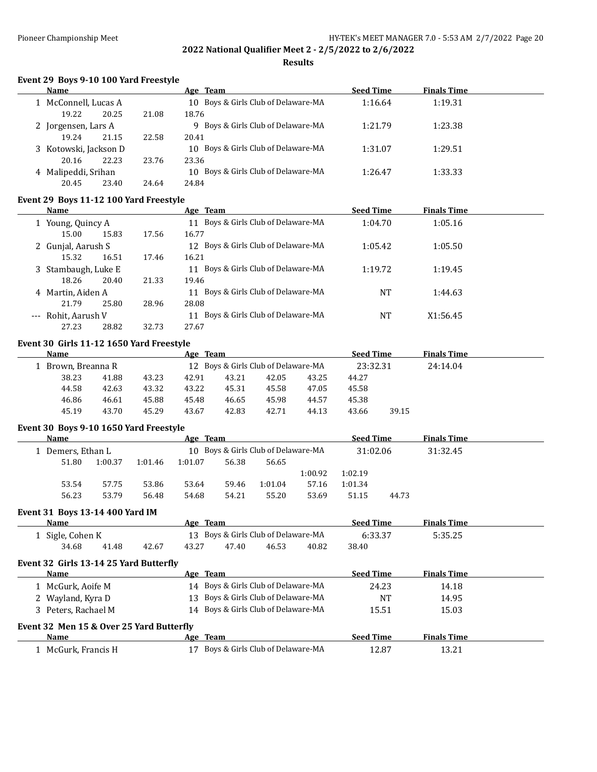**Results**

## **Event 29 Boys 9-10 100 Yard Freestyle**

| Name                  |       |       | Age Team                            | <b>Seed Time</b> | <b>Finals Time</b> |  |
|-----------------------|-------|-------|-------------------------------------|------------------|--------------------|--|
| 1 McConnell, Lucas A  |       |       | 10 Boys & Girls Club of Delaware-MA | 1:16.64          | 1:19.31            |  |
| 19.22                 | 20.25 | 21.08 | 18.76                               |                  |                    |  |
| 2 Jorgensen, Lars A   |       |       | 9 Boys & Girls Club of Delaware-MA  | 1:21.79          | 1:23.38            |  |
| 19.24                 | 21.15 | 22.58 | 20.41                               |                  |                    |  |
| 3 Kotowski, Jackson D |       |       | 10 Boys & Girls Club of Delaware-MA | 1:31.07          | 1:29.51            |  |
| 20.16                 | 22.23 | 23.76 | 23.36                               |                  |                    |  |
| 4 Malipeddi, Srihan   |       |       | 10 Boys & Girls Club of Delaware-MA | 1:26.47          | 1:33.33            |  |
| 20.45                 | 23.40 | 24.64 | 24.84                               |                  |                    |  |

### **Event 29 Boys 11-12 100 Yard Freestyle**

| Name                |       |       | Age Team                               | <b>Seed Time</b> | <b>Finals Time</b> |  |
|---------------------|-------|-------|----------------------------------------|------------------|--------------------|--|
| 1 Young, Quincy A   |       |       | 11 Boys & Girls Club of Delaware-MA    | 1:04.70          | 1:05.16            |  |
| 15.00               | 15.83 | 17.56 | 16.77                                  |                  |                    |  |
| 2 Gunjal, Aarush S  |       |       | 12 Boys & Girls Club of Delaware-MA    | 1:05.42          | 1:05.50            |  |
| 15.32               | 16.51 | 17.46 | 16.21                                  |                  |                    |  |
| 3 Stambaugh, Luke E |       |       | 11 Boys & Girls Club of Delaware-MA    | 1:19.72          | 1:19.45            |  |
| 18.26               | 20.40 | 21.33 | 19.46                                  |                  |                    |  |
| 4 Martin, Aiden A   |       |       | 11 Boys & Girls Club of Delaware-MA    | NT               | 1:44.63            |  |
| 21.79               | 25.80 | 28.96 | 28.08                                  |                  |                    |  |
| --- Rohit, Aarush V |       |       | Boys & Girls Club of Delaware-MA<br>11 | NT               | X1:56.45           |  |
| 27.23               | 28.82 | 32.73 | 27.67                                  |                  |                    |  |

## **Event 30 Girls 11-12 1650 Yard Freestyle**

| <b>Name</b>        |       |       | Age Team |                                     |       |       | <b>Seed Time</b> |       | <b>Finals Time</b> |  |
|--------------------|-------|-------|----------|-------------------------------------|-------|-------|------------------|-------|--------------------|--|
| 1 Brown, Breanna R |       |       |          | 12 Boys & Girls Club of Delaware-MA |       |       | 23:32.31         |       | 24:14.04           |  |
| 38.23              | 41.88 | 43.23 | 42.91    | 43.21                               | 42.05 | 43.25 | 44.27            |       |                    |  |
| 44.58              | 42.63 | 43.32 | 43.22    | 45.31                               | 45.58 | 47.05 | 45.58            |       |                    |  |
| 46.86              | 46.61 | 45.88 | 45.48    | 46.65                               | 45.98 | 44.57 | 45.38            |       |                    |  |
| 45.19              | 43.70 | 45.29 | 43.67    | 42.83                               | 42.71 | 44.13 | 43.66            | 39.15 |                    |  |
|                    |       |       |          |                                     |       |       |                  |       |                    |  |

#### **Event 30 Boys 9-10 1650 Yard Freestyle**

| Name            |                                     |         | Age Team |          |         |          | <b>Seed Time</b> |       | <b>Finals Time</b> |  |
|-----------------|-------------------------------------|---------|----------|----------|---------|----------|------------------|-------|--------------------|--|
| Demers, Ethan L | 10 Boys & Girls Club of Delaware-MA |         |          | 31:02.06 |         | 31:32.45 |                  |       |                    |  |
| 51.80           | 1:00.37                             | 1:01.46 | 1:01.07  | 56.38    | 56.65   |          |                  |       |                    |  |
|                 |                                     |         |          |          |         | 1:00.92  | 1:02.19          |       |                    |  |
| 53.54           | 57.75                               | 53.86   | 53.64    | 59.46    | 1:01.04 | 57.16    | 1:01.34          |       |                    |  |
| 56.23           | 53.79                               | 56.48   | 54.68    | 54.21    | 55.20   | 53.69    | 51.15            | 44.73 |                    |  |
|                 |                                     |         |          |          |         |          |                  |       |                    |  |

#### **Event 31 Boys 13-14 400 Yard IM**

j.

| Name           |       |       | Age   | Team                                |       |       | <b>Seed Time</b> | <b>Finals Time</b> |  |
|----------------|-------|-------|-------|-------------------------------------|-------|-------|------------------|--------------------|--|
| Sigle, Cohen K |       |       |       | 13 Boys & Girls Club of Delaware-MA |       |       |                  | 5:35.25            |  |
| 34.68          | 41.48 | 42.67 | 43.27 | 47.40                               | 46.53 | 40.82 | 38.40            |                    |  |

#### **Event 32 Girls 13-14 25 Yard Butterfly**

| Name                |                                          | Age Team                            | <b>Seed Time</b> | <b>Finals Time</b> |  |  |  |  |  |  |
|---------------------|------------------------------------------|-------------------------------------|------------------|--------------------|--|--|--|--|--|--|
| 1 McGurk, Aoife M   |                                          | 14 Boys & Girls Club of Delaware-MA | 24.23            | 14.18              |  |  |  |  |  |  |
| 2 Wayland, Kyra D   |                                          | 13 Boys & Girls Club of Delaware-MA | <b>NT</b>        | 14.95              |  |  |  |  |  |  |
| 3 Peters, Rachael M |                                          | 14 Boys & Girls Club of Delaware-MA | 15.51            | 15.03              |  |  |  |  |  |  |
|                     | Event 32 Men 15 & Over 25 Yard Butterfly |                                     |                  |                    |  |  |  |  |  |  |
| <b>Name</b>         |                                          | Age Team                            | <b>Seed Time</b> | <b>Finals Time</b> |  |  |  |  |  |  |
| 1 McGurk, Francis H |                                          | Boys & Girls Club of Delaware-MA    | 12.87            | 13.21              |  |  |  |  |  |  |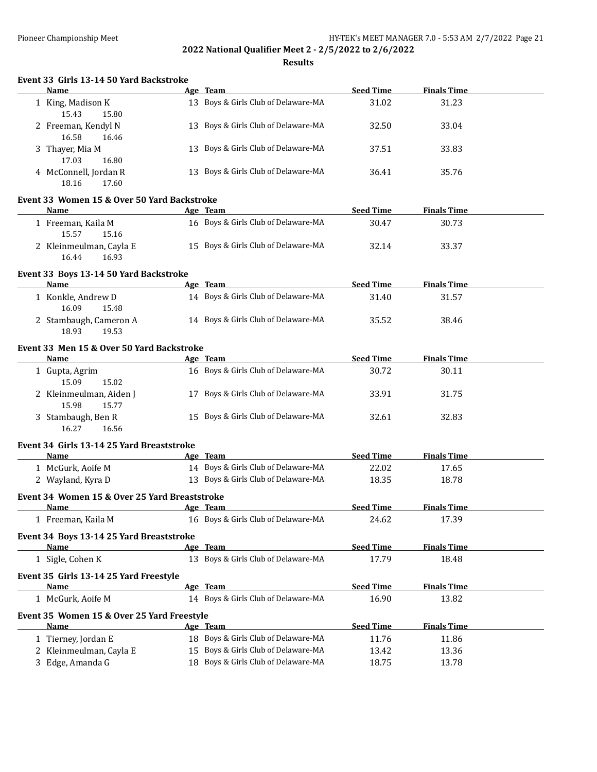|  |      |   |  | Event 33 Girls 13-14 50 Yard Backstroke |        |  |
|--|------|---|--|-----------------------------------------|--------|--|
|  | Name |   |  |                                         | Age Te |  |
|  |      | . |  |                                         |        |  |

| Name                                             | Age Team                            | <b>Seed Time</b> | <b>Finals Time</b> |  |
|--------------------------------------------------|-------------------------------------|------------------|--------------------|--|
| 1 King, Madison K<br>15.43<br>15.80              | 13 Boys & Girls Club of Delaware-MA | 31.02            | 31.23              |  |
| 2 Freeman, Kendyl N<br>16.58<br>16.46            | 13 Boys & Girls Club of Delaware-MA | 32.50            | 33.04              |  |
| 3 Thayer, Mia M<br>17.03<br>16.80                | 13 Boys & Girls Club of Delaware-MA | 37.51            | 33.83              |  |
| 4 McConnell, Jordan R<br>18.16<br>17.60          | 13 Boys & Girls Club of Delaware-MA | 36.41            | 35.76              |  |
| Event 33 Women 15 & Over 50 Yard Backstroke      |                                     |                  |                    |  |
| Name                                             | Age Team                            | <b>Seed Time</b> | <b>Finals Time</b> |  |
| 1 Freeman, Kaila M<br>15.57<br>15.16             | 16 Boys & Girls Club of Delaware-MA | 30.47            | 30.73              |  |
| 2 Kleinmeulman, Cayla E<br>16.44<br>16.93        | 15 Boys & Girls Club of Delaware-MA | 32.14            | 33.37              |  |
| Event 33 Boys 13-14 50 Yard Backstroke           |                                     |                  |                    |  |
| <b>Name</b>                                      | Age Team                            | <b>Seed Time</b> | <b>Finals Time</b> |  |
| 1 Konkle, Andrew D<br>16.09<br>15.48             | 14 Boys & Girls Club of Delaware-MA | 31.40            | 31.57              |  |
| 2 Stambaugh, Cameron A<br>18.93<br>19.53         | 14 Boys & Girls Club of Delaware-MA | 35.52            | 38.46              |  |
| Event 33 Men 15 & Over 50 Yard Backstroke        |                                     |                  |                    |  |
| Name                                             | Age Team                            | <b>Seed Time</b> | <b>Finals Time</b> |  |
| 1 Gupta, Agrim<br>15.09<br>15.02                 | 16 Boys & Girls Club of Delaware-MA | 30.72            | 30.11              |  |
| 2 Kleinmeulman, Aiden J<br>15.98<br>15.77        | 17 Boys & Girls Club of Delaware-MA | 33.91            | 31.75              |  |
| 3 Stambaugh, Ben R<br>16.27<br>16.56             | 15 Boys & Girls Club of Delaware-MA | 32.61            | 32.83              |  |
| Event 34 Girls 13-14 25 Yard Breaststroke        |                                     |                  |                    |  |
| <b>Name</b>                                      | Age Team                            | <b>Seed Time</b> | <b>Finals Time</b> |  |
| 1 McGurk, Aoife M                                | 14 Boys & Girls Club of Delaware-MA | 22.02            | 17.65              |  |
| 2 Wayland, Kyra D                                | 13 Boys & Girls Club of Delaware-MA | 18.35            | 18.78              |  |
| Event 34 Women 15 & Over 25 Yard Breaststroke    |                                     |                  |                    |  |
| Name                                             | Age Team                            | <b>Seed Time</b> | <b>Finals Time</b> |  |
| 1 Freeman, Kaila M                               | 16 Boys & Girls Club of Delaware-MA | 24.62            | 17.39              |  |
| Event 34 Boys 13-14 25 Yard Breaststroke<br>Name | Age Team                            | <b>Seed Time</b> | <b>Finals Time</b> |  |
| 1 Sigle, Cohen K                                 | 13 Boys & Girls Club of Delaware-MA | 17.79            | 18.48              |  |
| Event 35 Girls 13-14 25 Yard Freestyle<br>Name   | Age Team                            | <b>Seed Time</b> | <b>Finals Time</b> |  |
| 1 McGurk, Aoife M                                | 14 Boys & Girls Club of Delaware-MA | 16.90            | 13.82              |  |
| Event 35 Women 15 & Over 25 Yard Freestyle       |                                     |                  |                    |  |
| Name                                             | Age Team                            | <b>Seed Time</b> | <b>Finals Time</b> |  |
| 1 Tierney, Jordan E                              | 18 Boys & Girls Club of Delaware-MA | 11.76            | 11.86              |  |
| 2 Kleinmeulman, Cayla E                          | 15 Boys & Girls Club of Delaware-MA | 13.42            | 13.36              |  |
| 3 Edge, Amanda G                                 | 18 Boys & Girls Club of Delaware-MA | 18.75            | 13.78              |  |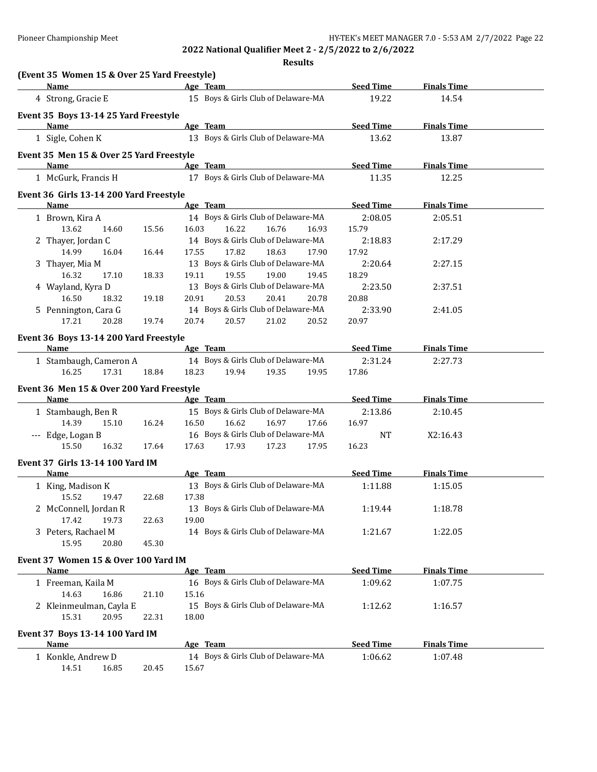| (Event 35 Women 15 & Over 25 Yard Freestyle)<br><b>Name</b> |       |       |                                                                | <b>Seed Time</b> | <b>Finals Time</b> |  |
|-------------------------------------------------------------|-------|-------|----------------------------------------------------------------|------------------|--------------------|--|
| 4 Strong, Gracie E                                          |       |       | Age Team<br>15 Boys & Girls Club of Delaware-MA                | 19.22            | 14.54              |  |
|                                                             |       |       |                                                                |                  |                    |  |
| Event 35 Boys 13-14 25 Yard Freestyle                       |       |       |                                                                |                  |                    |  |
| <b>Name</b>                                                 |       |       | Age Team<br>13 Boys & Girls Club of Delaware-MA                | <b>Seed Time</b> | <b>Finals Time</b> |  |
| 1 Sigle, Cohen K                                            |       |       |                                                                | 13.62            | 13.87              |  |
| Event 35 Men 15 & Over 25 Yard Freestyle                    |       |       |                                                                |                  |                    |  |
| Name                                                        |       |       | Age Team                                                       | <b>Seed Time</b> | <b>Finals Time</b> |  |
| 1 McGurk, Francis H                                         |       |       | 17 Boys & Girls Club of Delaware-MA                            | 11.35            | 12.25              |  |
| Event 36 Girls 13-14 200 Yard Freestyle                     |       |       |                                                                |                  |                    |  |
| <b>Name</b>                                                 |       |       | Age Team                                                       | <b>Seed Time</b> | <b>Finals Time</b> |  |
| 1 Brown, Kira A                                             |       |       | 14 Boys & Girls Club of Delaware-MA                            | 2:08.05          | 2:05.51            |  |
| 13.62<br>14.60                                              | 15.56 | 16.03 | 16.22<br>16.76<br>16.93                                        | 15.79            |                    |  |
| 2 Thayer, Jordan C                                          |       |       | 14 Boys & Girls Club of Delaware-MA                            | 2:18.83          | 2:17.29            |  |
| 14.99<br>16.04                                              | 16.44 | 17.55 | 17.82<br>18.63<br>17.90                                        | 17.92            |                    |  |
| 3 Thayer, Mia M                                             |       |       | 13 Boys & Girls Club of Delaware-MA                            | 2:20.64          | 2:27.15            |  |
| 16.32<br>17.10                                              | 18.33 | 19.11 | 19.55<br>19.00<br>19.45                                        | 18.29            |                    |  |
| 4 Wayland, Kyra D                                           |       |       | 13 Boys & Girls Club of Delaware-MA                            | 2:23.50          | 2:37.51            |  |
| 16.50<br>18.32                                              | 19.18 | 20.91 | 20.53<br>20.41<br>20.78<br>14 Boys & Girls Club of Delaware-MA | 20.88            |                    |  |
| 5 Pennington, Cara G<br>17.21<br>20.28                      | 19.74 | 20.74 | 20.57<br>21.02<br>20.52                                        | 2:33.90<br>20.97 | 2:41.05            |  |
|                                                             |       |       |                                                                |                  |                    |  |
| Event 36 Boys 13-14 200 Yard Freestyle                      |       |       |                                                                |                  |                    |  |
| <b>Name</b>                                                 |       |       | Age Team                                                       | <b>Seed Time</b> | <b>Finals Time</b> |  |
| 1 Stambaugh, Cameron A                                      |       |       | 14 Boys & Girls Club of Delaware-MA                            | 2:31.24          | 2:27.73            |  |
| 16.25<br>17.31                                              | 18.84 | 18.23 | 19.94<br>19.35<br>19.95                                        | 17.86            |                    |  |
| Event 36 Men 15 & Over 200 Yard Freestyle                   |       |       |                                                                |                  |                    |  |
| <b>Name</b>                                                 |       |       | Age Team                                                       | <b>Seed Time</b> | <b>Finals Time</b> |  |
| 1 Stambaugh, Ben R                                          |       |       | 15 Boys & Girls Club of Delaware-MA                            | 2:13.86          | 2:10.45            |  |
| 14.39<br>15.10                                              | 16.24 | 16.50 | 16.62<br>16.97<br>17.66                                        | 16.97            |                    |  |
| --- Edge, Logan B                                           |       |       | 16 Boys & Girls Club of Delaware-MA                            | <b>NT</b>        | X2:16.43           |  |
| 15.50<br>16.32                                              | 17.64 | 17.63 | 17.93<br>17.23<br>17.95                                        | 16.23            |                    |  |
| Event 37 Girls 13-14 100 Yard IM                            |       |       |                                                                |                  |                    |  |
| Name                                                        |       |       | Age Team                                                       | <b>Seed Time</b> | <b>Finals Time</b> |  |
| 1 King, Madison K                                           |       |       | 13 Boys & Girls Club of Delaware-MA                            | 1:11.88          | 1:15.05            |  |
| 15.52<br>19.47                                              | 22.68 | 17.38 |                                                                |                  |                    |  |
| 2 McConnell, Jordan R                                       |       |       | 13 Boys & Girls Club of Delaware-MA                            | 1:19.44          | 1:18.78            |  |
| 17.42<br>19.73                                              | 22.63 | 19.00 |                                                                |                  |                    |  |
| 3 Peters, Rachael M                                         |       |       | 14 Boys & Girls Club of Delaware-MA                            | 1:21.67          | 1:22.05            |  |
| 15.95<br>20.80                                              | 45.30 |       |                                                                |                  |                    |  |
| Event 37 Women 15 & Over 100 Yard IM                        |       |       |                                                                |                  |                    |  |
| <b>Name</b>                                                 |       |       | Age Team                                                       | <b>Seed Time</b> | <b>Finals Time</b> |  |
| 1 Freeman, Kaila M                                          |       |       | 16 Boys & Girls Club of Delaware-MA                            | 1:09.62          | 1:07.75            |  |
| 14.63<br>16.86                                              | 21.10 | 15.16 |                                                                |                  |                    |  |
| 2 Kleinmeulman, Cayla E                                     |       |       | 15 Boys & Girls Club of Delaware-MA                            | 1:12.62          | 1:16.57            |  |
| 15.31<br>20.95                                              | 22.31 | 18.00 |                                                                |                  |                    |  |
| Event 37 Boys 13-14 100 Yard IM                             |       |       |                                                                |                  |                    |  |
| <b>Name</b>                                                 |       |       | Age Team                                                       | <b>Seed Time</b> | <b>Finals Time</b> |  |
| 1 Konkle, Andrew D                                          |       |       | 14 Boys & Girls Club of Delaware-MA                            | 1:06.62          | 1:07.48            |  |
| 14.51<br>16.85                                              | 20.45 | 15.67 |                                                                |                  |                    |  |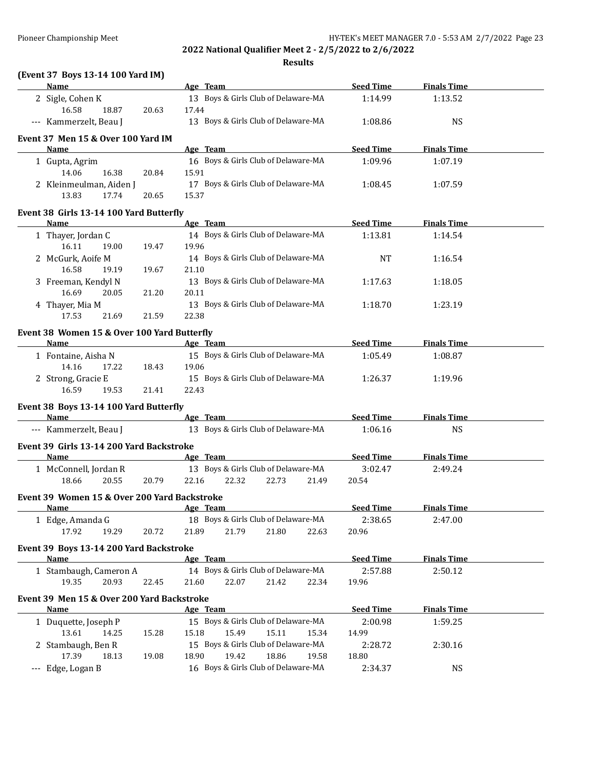**Results**

## **(Event 37 Boys 13-14 100 Yard IM)**

| $\mu$ is a set of $\mu$ is the set of $\mu$ is the set of $\mu$<br><b>Name</b> |       | Age Team and the state of the state of the state of the state of the state of the state of the state of the state of the state of the state of the state of the state of the state of the state of the state of the state of t |       | Seed Time        | <b>Finals Time</b> |  |
|--------------------------------------------------------------------------------|-------|--------------------------------------------------------------------------------------------------------------------------------------------------------------------------------------------------------------------------------|-------|------------------|--------------------|--|
| 2 Sigle, Cohen K                                                               |       | 13 Boys & Girls Club of Delaware-MA                                                                                                                                                                                            |       | 1:14.99          | 1:13.52            |  |
| 16.58<br>18.87                                                                 | 20.63 | 17.44                                                                                                                                                                                                                          |       |                  |                    |  |
| --- Kammerzelt, Beau J                                                         |       | 13 Boys & Girls Club of Delaware-MA                                                                                                                                                                                            |       | 1:08.86          | <b>NS</b>          |  |
| Event 37 Men 15 & Over 100 Yard IM                                             |       |                                                                                                                                                                                                                                |       |                  |                    |  |
| Name                                                                           |       | Age Team                                                                                                                                                                                                                       |       | <b>Seed Time</b> | <b>Finals Time</b> |  |
| 1 Gupta, Agrim                                                                 |       | 16 Boys & Girls Club of Delaware-MA                                                                                                                                                                                            |       | 1:09.96          | 1:07.19            |  |
| 14.06<br>16.38                                                                 | 20.84 | 15.91                                                                                                                                                                                                                          |       |                  |                    |  |
| 2 Kleinmeulman, Aiden J<br>13.83<br>17.74                                      | 20.65 | 17 Boys & Girls Club of Delaware-MA<br>15.37                                                                                                                                                                                   |       | 1:08.45          | 1:07.59            |  |
| Event 38 Girls 13-14 100 Yard Butterfly                                        |       |                                                                                                                                                                                                                                |       |                  |                    |  |
| Name                                                                           |       | Age Team                                                                                                                                                                                                                       |       | <b>Seed Time</b> | <b>Finals Time</b> |  |
| 1 Thayer, Jordan C                                                             |       | 14 Boys & Girls Club of Delaware-MA                                                                                                                                                                                            |       | 1:13.81          | 1:14.54            |  |
| 16.11<br>19.00                                                                 | 19.47 | 19.96                                                                                                                                                                                                                          |       |                  |                    |  |
| 2 McGurk, Aoife M                                                              |       | 14 Boys & Girls Club of Delaware-MA                                                                                                                                                                                            |       | <b>NT</b>        | 1:16.54            |  |
| 16.58<br>19.19                                                                 | 19.67 | 21.10                                                                                                                                                                                                                          |       |                  |                    |  |
| 3 Freeman, Kendyl N                                                            |       | 13 Boys & Girls Club of Delaware-MA                                                                                                                                                                                            |       | 1:17.63          | 1:18.05            |  |
| 16.69<br>20.05                                                                 | 21.20 | 20.11                                                                                                                                                                                                                          |       |                  |                    |  |
| 4 Thayer, Mia M                                                                |       | 13 Boys & Girls Club of Delaware-MA                                                                                                                                                                                            |       | 1:18.70          | 1:23.19            |  |
| 17.53<br>21.69                                                                 | 21.59 | 22.38                                                                                                                                                                                                                          |       |                  |                    |  |
|                                                                                |       |                                                                                                                                                                                                                                |       |                  |                    |  |
| Event 38 Women 15 & Over 100 Yard Butterfly<br>Name                            |       | Age Team                                                                                                                                                                                                                       |       | <b>Seed Time</b> | <b>Finals Time</b> |  |
| 1 Fontaine, Aisha N                                                            |       | 15 Boys & Girls Club of Delaware-MA                                                                                                                                                                                            |       | 1:05.49          | 1:08.87            |  |
| 14.16<br>17.22                                                                 | 18.43 | 19.06                                                                                                                                                                                                                          |       |                  |                    |  |
| 2 Strong, Gracie E                                                             |       | 15 Boys & Girls Club of Delaware-MA                                                                                                                                                                                            |       | 1:26.37          | 1:19.96            |  |
| 16.59<br>19.53                                                                 | 21.41 | 22.43                                                                                                                                                                                                                          |       |                  |                    |  |
|                                                                                |       |                                                                                                                                                                                                                                |       |                  |                    |  |
| Event 38 Boys 13-14 100 Yard Butterfly                                         |       |                                                                                                                                                                                                                                |       |                  |                    |  |
| Name                                                                           |       | Age Team                                                                                                                                                                                                                       |       | <b>Seed Time</b> | <b>Finals Time</b> |  |
| --- Kammerzelt, Beau J                                                         |       | 13 Boys & Girls Club of Delaware-MA                                                                                                                                                                                            |       | 1:06.16          | <b>NS</b>          |  |
| Event 39 Girls 13-14 200 Yard Backstroke                                       |       |                                                                                                                                                                                                                                |       |                  |                    |  |
| <b>Name</b>                                                                    |       | Age Team                                                                                                                                                                                                                       |       | <b>Seed Time</b> | <b>Finals Time</b> |  |
| 1 McConnell, Jordan R                                                          |       | 13 Boys & Girls Club of Delaware-MA                                                                                                                                                                                            |       | 3:02.47          | 2:49.24            |  |
| 18.66<br>20.55                                                                 | 20.79 | 22.16<br>22.32<br>22.73                                                                                                                                                                                                        | 21.49 | 20.54            |                    |  |
| Event 39 Women 15 & Over 200 Yard Backstroke                                   |       |                                                                                                                                                                                                                                |       |                  |                    |  |
| Name                                                                           |       | <u>Age Team</u>                                                                                                                                                                                                                |       | <b>Seed Time</b> | <b>Finals Time</b> |  |
| 1 Edge, Amanda G                                                               |       | 18 Boys & Girls Club of Delaware-MA                                                                                                                                                                                            |       | 2:38.65          | 2:47.00            |  |
| 17.92<br>19.29                                                                 | 20.72 | 21.89<br>21.79<br>21.80                                                                                                                                                                                                        | 22.63 | 20.96            |                    |  |
|                                                                                |       |                                                                                                                                                                                                                                |       |                  |                    |  |
| Event 39 Boys 13-14 200 Yard Backstroke<br><b>Name</b>                         |       | Age Team                                                                                                                                                                                                                       |       | <b>Seed Time</b> | <b>Finals Time</b> |  |
|                                                                                |       | 14 Boys & Girls Club of Delaware-MA                                                                                                                                                                                            |       |                  |                    |  |
| 1 Stambaugh, Cameron A<br>19.35                                                |       | 21.42                                                                                                                                                                                                                          |       | 2:57.88          | 2:50.12            |  |
| 20.93                                                                          | 22.45 | 22.07<br>21.60                                                                                                                                                                                                                 | 22.34 | 19.96            |                    |  |
| Event 39 Men 15 & Over 200 Yard Backstroke                                     |       |                                                                                                                                                                                                                                |       |                  |                    |  |
| <b>Name</b>                                                                    |       | Age Team                                                                                                                                                                                                                       |       | <b>Seed Time</b> | <b>Finals Time</b> |  |
| 1 Duquette, Joseph P                                                           |       | 15 Boys & Girls Club of Delaware-MA                                                                                                                                                                                            |       | 2:00.98          | 1:59.25            |  |
| 13.61<br>14.25                                                                 | 15.28 | 15.18<br>15.49<br>15.11                                                                                                                                                                                                        | 15.34 | 14.99            |                    |  |
| 2 Stambaugh, Ben R                                                             |       | 15 Boys & Girls Club of Delaware-MA                                                                                                                                                                                            |       | 2:28.72          | 2:30.16            |  |
| 17.39<br>18.13                                                                 | 19.08 | 18.90<br>19.42<br>18.86                                                                                                                                                                                                        | 19.58 | 18.80            |                    |  |
| --- Edge, Logan B                                                              |       | 16 Boys & Girls Club of Delaware-MA                                                                                                                                                                                            |       | 2:34.37          | <b>NS</b>          |  |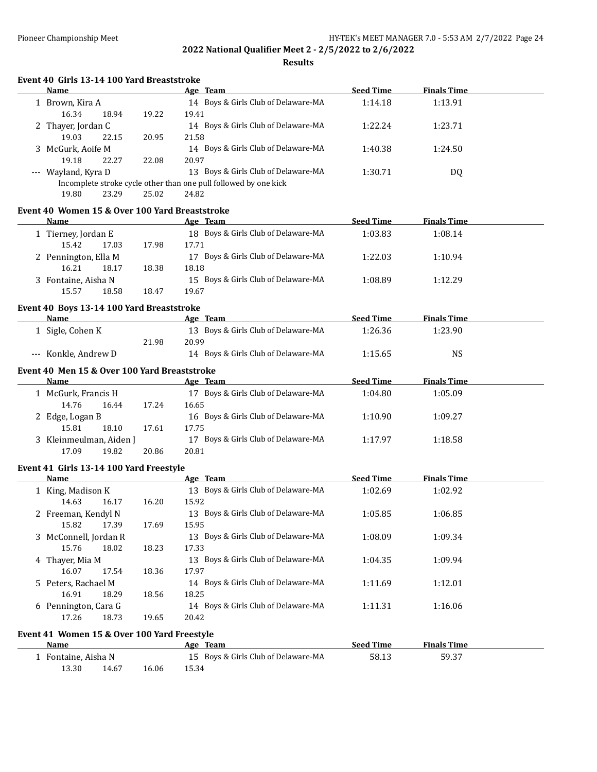| Event 40 Girls 13-14 100 Yard Breaststroke     |       |                                                                  |                  |                    |  |
|------------------------------------------------|-------|------------------------------------------------------------------|------------------|--------------------|--|
| Name                                           |       | Age Team                                                         | <b>Seed Time</b> | <b>Finals Time</b> |  |
| 1 Brown, Kira A<br>16.34<br>18.94              | 19.22 | 14 Boys & Girls Club of Delaware-MA<br>19.41                     | 1:14.18          | 1:13.91            |  |
| 2 Thayer, Jordan C<br>19.03<br>22.15           | 20.95 | 14 Boys & Girls Club of Delaware-MA<br>21.58                     | 1:22.24          | 1:23.71            |  |
| 3 McGurk, Aoife M                              |       | 14 Boys & Girls Club of Delaware-MA                              | 1:40.38          | 1:24.50            |  |
| 19.18<br>22.27<br>--- Wayland, Kyra D          | 22.08 | 20.97<br>13 Boys & Girls Club of Delaware-MA                     | 1:30.71          | DQ                 |  |
|                                                |       | Incomplete stroke cycle other than one pull followed by one kick |                  |                    |  |
| 19.80<br>23.29                                 | 25.02 | 24.82                                                            |                  |                    |  |
| Event 40 Women 15 & Over 100 Yard Breaststroke |       |                                                                  |                  |                    |  |
| Name                                           |       | Age Team                                                         | <b>Seed Time</b> | <b>Finals Time</b> |  |
| 1 Tierney, Jordan E                            |       | 18 Boys & Girls Club of Delaware-MA                              | 1:03.83          | 1:08.14            |  |
| 15.42<br>17.03                                 | 17.98 | 17.71                                                            |                  |                    |  |
| 2 Pennington, Ella M                           |       | 17 Boys & Girls Club of Delaware-MA                              | 1:22.03          | 1:10.94            |  |
| 16.21<br>18.17                                 | 18.38 | 18.18                                                            |                  |                    |  |
| 3 Fontaine, Aisha N                            |       | 15 Boys & Girls Club of Delaware-MA                              | 1:08.89          | 1:12.29            |  |
| 15.57<br>18.58                                 | 18.47 | 19.67                                                            |                  |                    |  |
| Event 40 Boys 13-14 100 Yard Breaststroke      |       |                                                                  |                  |                    |  |
| Name                                           |       | Age Team                                                         | <b>Seed Time</b> | <b>Finals Time</b> |  |
| 1 Sigle, Cohen K                               |       | 13 Boys & Girls Club of Delaware-MA                              | 1:26.36          | 1:23.90            |  |
|                                                | 21.98 | 20.99                                                            |                  |                    |  |
| --- Konkle, Andrew D                           |       | 14 Boys & Girls Club of Delaware-MA                              | 1:15.65          | <b>NS</b>          |  |
| Event 40 Men 15 & Over 100 Yard Breaststroke   |       |                                                                  |                  |                    |  |
| Name                                           |       | Age Team                                                         | <b>Seed Time</b> | <b>Finals Time</b> |  |
| 1 McGurk, Francis H                            |       | 17 Boys & Girls Club of Delaware-MA                              | 1:04.80          | 1:05.09            |  |
| 14.76<br>16.44                                 | 17.24 | 16.65                                                            |                  |                    |  |
| 2 Edge, Logan B                                |       | 16 Boys & Girls Club of Delaware-MA                              | 1:10.90          | 1:09.27            |  |
| 15.81<br>18.10                                 | 17.61 | 17.75                                                            |                  |                    |  |
| 3 Kleinmeulman, Aiden J                        |       | 17 Boys & Girls Club of Delaware-MA                              | 1:17.97          | 1:18.58            |  |
| 17.09<br>19.82                                 | 20.86 | 20.81                                                            |                  |                    |  |
| Event 41 Girls 13-14 100 Yard Freestyle        |       |                                                                  |                  |                    |  |
| <b>Name</b>                                    |       | Age Team                                                         | <b>Seed Time</b> | <b>Finals Time</b> |  |
| 1 King, Madison K<br>14.63<br>16.17            | 16.20 | 13 Boys & Girls Club of Delaware-MA<br>15.92                     | 1:02.69          | 1:02.92            |  |
| 2 Freeman, Kendyl N                            |       | 13 Boys & Girls Club of Delaware-MA                              | 1:05.85          | 1:06.85            |  |
| 15.82<br>17.39                                 | 17.69 | 15.95                                                            |                  |                    |  |
| 3 McConnell, Jordan R                          |       | 13 Boys & Girls Club of Delaware-MA                              | 1:08.09          | 1:09.34            |  |
| 15.76<br>18.02                                 | 18.23 | 17.33                                                            |                  |                    |  |
| 4 Thayer, Mia M                                |       | 13 Boys & Girls Club of Delaware-MA                              | 1:04.35          | 1:09.94            |  |
| 16.07<br>17.54                                 | 18.36 | 17.97                                                            |                  |                    |  |
| 5 Peters, Rachael M                            |       | 14 Boys & Girls Club of Delaware-MA                              | 1:11.69          | 1:12.01            |  |
| 16.91<br>18.29                                 | 18.56 | 18.25                                                            |                  |                    |  |
| 6 Pennington, Cara G                           |       | 14 Boys & Girls Club of Delaware-MA                              | 1:11.31          | 1:16.06            |  |
| 17.26<br>18.73                                 | 19.65 | 20.42                                                            |                  |                    |  |
| Event 41 Women 15 & Over 100 Yard Freestyle    |       |                                                                  |                  |                    |  |
| Name                                           |       | Age Team                                                         | <b>Seed Time</b> | <b>Finals Time</b> |  |
| 1 Fontaine, Aisha N                            |       | 15 Boys & Girls Club of Delaware-MA                              | 58.13            | 59.37              |  |
| 13.30<br>14.67                                 | 16.06 | 15.34                                                            |                  |                    |  |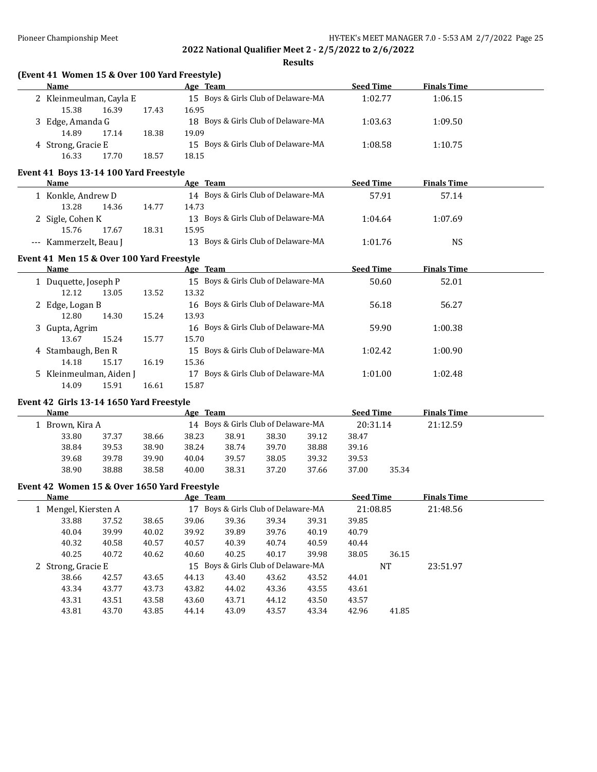**Results**

|  |  |  |  | (Event 41 Women 15 & Over 100 Yard Freestyle) |
|--|--|--|--|-----------------------------------------------|
|--|--|--|--|-----------------------------------------------|

| <b>Name</b>             |                  |       | Age Team                            | <b>Seed Time</b> | <b>Finals Time</b> |  |
|-------------------------|------------------|-------|-------------------------------------|------------------|--------------------|--|
| 2 Kleinmeulman, Cayla E |                  |       | 15 Boys & Girls Club of Delaware-MA | 1:02.77          | 1:06.15            |  |
| 15.38                   | 16.39            | 17.43 | 16.95                               |                  |                    |  |
|                         | 3 Edge, Amanda G |       | 18 Boys & Girls Club of Delaware-MA | 1:03.63          | 1:09.50            |  |
| 14.89                   | 17.14            | 18.38 | 19.09                               |                  |                    |  |
| 4 Strong, Gracie E      |                  |       | 15 Boys & Girls Club of Delaware-MA | 1:08.58          | 1:10.75            |  |
| 16.33                   | 17.70            | 18.57 | 18.15                               |                  |                    |  |

#### **Event 41 Boys 13-14 100 Yard Freestyle**

| <b>Name</b>            |       | Age Team                            | <b>Seed Time</b> | <b>Finals Time</b> |  |
|------------------------|-------|-------------------------------------|------------------|--------------------|--|
| 1 Konkle, Andrew D     |       | 14 Boys & Girls Club of Delaware-MA | 57.91            | 57.14              |  |
| 13.28<br>14.36         | 14.77 | 14.73                               |                  |                    |  |
| 2 Sigle, Cohen K       |       | 13 Boys & Girls Club of Delaware-MA | 1:04.64          | 1:07.69            |  |
| 15.76<br>17.67         | 18.31 | 15.95                               |                  |                    |  |
| --- Kammerzelt, Beau J |       | 13 Boys & Girls Club of Delaware-MA | 1:01.76          | <b>NS</b>          |  |

## **Event 41 Men 15 & Over 100 Yard Freestyle**

| Name                    |       |       | Age Team                               | <b>Seed Time</b> | <b>Finals Time</b> |  |
|-------------------------|-------|-------|----------------------------------------|------------------|--------------------|--|
| 1 Duquette, Joseph P    |       |       | 15 Boys & Girls Club of Delaware-MA    | 50.60            | 52.01              |  |
| 12.12                   | 13.05 | 13.52 | 13.32                                  |                  |                    |  |
| 2 Edge, Logan B         |       |       | 16 Boys & Girls Club of Delaware-MA    | 56.18            | 56.27              |  |
| 12.80                   | 14.30 | 15.24 | 13.93                                  |                  |                    |  |
| 3 Gupta, Agrim          |       |       | 16 Boys & Girls Club of Delaware-MA    | 59.90            | 1:00.38            |  |
| 13.67                   | 15.24 | 15.77 | 15.70                                  |                  |                    |  |
| 4 Stambaugh, Ben R      |       |       | 15 Boys & Girls Club of Delaware-MA    | 1:02.42          | 1:00.90            |  |
| 14.18                   | 15.17 | 16.19 | 15.36                                  |                  |                    |  |
| 5 Kleinmeulman, Aiden J |       |       | Boys & Girls Club of Delaware-MA<br>17 | 1:01.00          | 1:02.48            |  |
| 14.09                   | 15.91 | 16.61 | 15.87                                  |                  |                    |  |

## **Event 42 Girls 13-14 1650 Yard Freestyle**

|                   | Name  |       |       | Age Team                            |       |       |       | <b>Seed Time</b> |       | <b>Finals Time</b> |  |  |
|-------------------|-------|-------|-------|-------------------------------------|-------|-------|-------|------------------|-------|--------------------|--|--|
| l - Brown, Kira A |       |       |       | 14 Boys & Girls Club of Delaware-MA |       |       |       | 20:31.14         |       | 21:12.59           |  |  |
|                   | 33.80 | 37.37 | 38.66 | 38.23                               | 38.91 | 38.30 | 39.12 | 38.47            |       |                    |  |  |
|                   | 38.84 | 39.53 | 38.90 | 38.24                               | 38.74 | 39.70 | 38.88 | 39.16            |       |                    |  |  |
|                   | 39.68 | 39.78 | 39.90 | 40.04                               | 39.57 | 38.05 | 39.32 | 39.53            |       |                    |  |  |
|                   | 38.90 | 38.88 | 38.58 | 40.00                               | 38.31 | 37.20 | 37.66 | 37.00            | 35.34 |                    |  |  |
|                   |       |       |       |                                     |       |       |       |                  |       |                    |  |  |

## **Event 42 Women 15 & Over 1650 Yard Freestyle**

|                    | Name               |       |                                     | Age Team |       |       |       |          | <b>Seed Time</b> | <b>Finals Time</b> |  |
|--------------------|--------------------|-------|-------------------------------------|----------|-------|-------|-------|----------|------------------|--------------------|--|
|                    | Mengel, Kiersten A |       | 17 Boys & Girls Club of Delaware-MA |          |       |       |       | 21:08.85 |                  | 21:48.56           |  |
|                    | 33.88              | 37.52 | 38.65                               | 39.06    | 39.36 | 39.34 | 39.31 | 39.85    |                  |                    |  |
|                    | 40.04              | 39.99 | 40.02                               | 39.92    | 39.89 | 39.76 | 40.19 | 40.79    |                  |                    |  |
|                    | 40.32              | 40.58 | 40.57                               | 40.57    | 40.39 | 40.74 | 40.59 | 40.44    |                  |                    |  |
|                    | 40.25              | 40.72 | 40.62                               | 40.60    | 40.25 | 40.17 | 39.98 | 38.05    | 36.15            |                    |  |
| 2 Strong, Gracie E |                    |       | 15 Boys & Girls Club of Delaware-MA |          |       |       |       |          | NT               | 23:51.97           |  |
|                    | 38.66              | 42.57 | 43.65                               | 44.13    | 43.40 | 43.62 | 43.52 | 44.01    |                  |                    |  |
|                    | 43.34              | 43.77 | 43.73                               | 43.82    | 44.02 | 43.36 | 43.55 | 43.61    |                  |                    |  |
|                    | 43.31              | 43.51 | 43.58                               | 43.60    | 43.71 | 44.12 | 43.50 | 43.57    |                  |                    |  |
|                    | 43.81              | 43.70 | 43.85                               | 44.14    | 43.09 | 43.57 | 43.34 | 42.96    | 41.85            |                    |  |